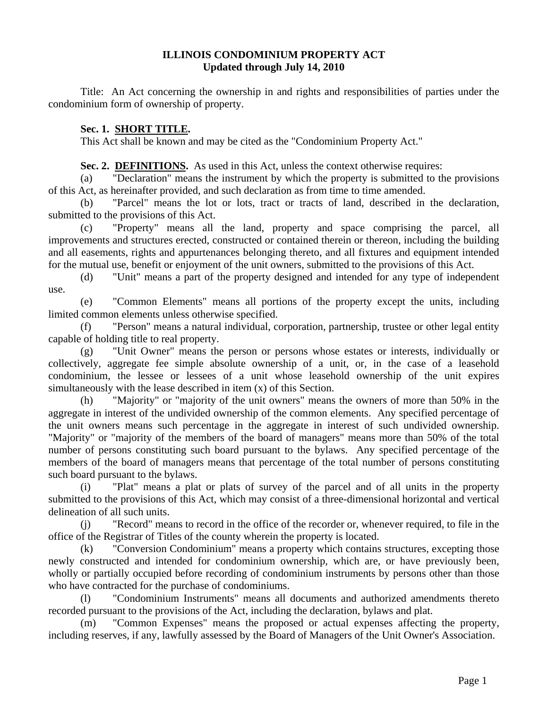#### **ILLINOIS CONDOMINIUM PROPERTY ACT Updated through July 14, 2010**

 Title: An Act concerning the ownership in and rights and responsibilities of parties under the condominium form of ownership of property.

#### **Sec. 1. SHORT TITLE.**

This Act shall be known and may be cited as the "Condominium Property Act."

**Sec. 2. DEFINITIONS.** As used in this Act, unless the context otherwise requires:

 (a) "Declaration" means the instrument by which the property is submitted to the provisions of this Act, as hereinafter provided, and such declaration as from time to time amended.

 (b) "Parcel" means the lot or lots, tract or tracts of land, described in the declaration, submitted to the provisions of this Act.

 (c) "Property" means all the land, property and space comprising the parcel, all improvements and structures erected, constructed or contained therein or thereon, including the building and all easements, rights and appurtenances belonging thereto, and all fixtures and equipment intended for the mutual use, benefit or enjoyment of the unit owners, submitted to the provisions of this Act.

 (d) "Unit" means a part of the property designed and intended for any type of independent use.

 (e) "Common Elements" means all portions of the property except the units, including limited common elements unless otherwise specified.

 (f) "Person" means a natural individual, corporation, partnership, trustee or other legal entity capable of holding title to real property.

 (g) "Unit Owner" means the person or persons whose estates or interests, individually or collectively, aggregate fee simple absolute ownership of a unit, or, in the case of a leasehold condominium, the lessee or lessees of a unit whose leasehold ownership of the unit expires simultaneously with the lease described in item (x) of this Section.

 (h) "Majority" or "majority of the unit owners" means the owners of more than 50% in the aggregate in interest of the undivided ownership of the common elements. Any specified percentage of the unit owners means such percentage in the aggregate in interest of such undivided ownership. "Majority" or "majority of the members of the board of managers" means more than 50% of the total number of persons constituting such board pursuant to the bylaws. Any specified percentage of the members of the board of managers means that percentage of the total number of persons constituting such board pursuant to the bylaws.

 (i) "Plat" means a plat or plats of survey of the parcel and of all units in the property submitted to the provisions of this Act, which may consist of a three-dimensional horizontal and vertical delineation of all such units.

 (j) "Record" means to record in the office of the recorder or, whenever required, to file in the office of the Registrar of Titles of the county wherein the property is located.

 (k) "Conversion Condominium" means a property which contains structures, excepting those newly constructed and intended for condominium ownership, which are, or have previously been, wholly or partially occupied before recording of condominium instruments by persons other than those who have contracted for the purchase of condominiums.

 (l) "Condominium Instruments" means all documents and authorized amendments thereto recorded pursuant to the provisions of the Act, including the declaration, bylaws and plat.

 (m) "Common Expenses" means the proposed or actual expenses affecting the property, including reserves, if any, lawfully assessed by the Board of Managers of the Unit Owner's Association.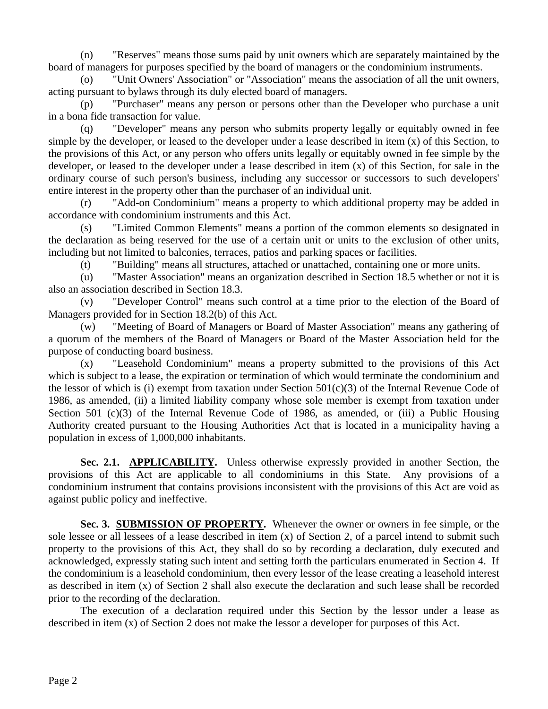(n) "Reserves" means those sums paid by unit owners which are separately maintained by the board of managers for purposes specified by the board of managers or the condominium instruments.

 (o) "Unit Owners' Association" or "Association" means the association of all the unit owners, acting pursuant to bylaws through its duly elected board of managers.

 (p) "Purchaser" means any person or persons other than the Developer who purchase a unit in a bona fide transaction for value.

 (q) "Developer" means any person who submits property legally or equitably owned in fee simple by the developer, or leased to the developer under a lease described in item (x) of this Section, to the provisions of this Act, or any person who offers units legally or equitably owned in fee simple by the developer, or leased to the developer under a lease described in item (x) of this Section, for sale in the ordinary course of such person's business, including any successor or successors to such developers' entire interest in the property other than the purchaser of an individual unit.

 (r) "Add-on Condominium" means a property to which additional property may be added in accordance with condominium instruments and this Act.

 (s) "Limited Common Elements" means a portion of the common elements so designated in the declaration as being reserved for the use of a certain unit or units to the exclusion of other units, including but not limited to balconies, terraces, patios and parking spaces or facilities.

(t) "Building" means all structures, attached or unattached, containing one or more units.

 (u) "Master Association" means an organization described in Section 18.5 whether or not it is also an association described in Section 18.3.

 (v) "Developer Control" means such control at a time prior to the election of the Board of Managers provided for in Section 18.2(b) of this Act.

 (w) "Meeting of Board of Managers or Board of Master Association" means any gathering of a quorum of the members of the Board of Managers or Board of the Master Association held for the purpose of conducting board business.

 (x) "Leasehold Condominium" means a property submitted to the provisions of this Act which is subject to a lease, the expiration or termination of which would terminate the condominium and the lessor of which is (i) exempt from taxation under Section 501(c)(3) of the Internal Revenue Code of 1986, as amended, (ii) a limited liability company whose sole member is exempt from taxation under Section 501 (c)(3) of the Internal Revenue Code of 1986, as amended, or (iii) a Public Housing Authority created pursuant to the Housing Authorities Act that is located in a municipality having a population in excess of 1,000,000 inhabitants.

**Sec. 2.1. APPLICABILITY.** Unless otherwise expressly provided in another Section, the provisions of this Act are applicable to all condominiums in this State. Any provisions of a condominium instrument that contains provisions inconsistent with the provisions of this Act are void as against public policy and ineffective.

**Sec. 3. SUBMISSION OF PROPERTY.** Whenever the owner or owners in fee simple, or the sole lessee or all lessees of a lease described in item (x) of Section 2, of a parcel intend to submit such property to the provisions of this Act, they shall do so by recording a declaration, duly executed and acknowledged, expressly stating such intent and setting forth the particulars enumerated in Section 4. If the condominium is a leasehold condominium, then every lessor of the lease creating a leasehold interest as described in item (x) of Section 2 shall also execute the declaration and such lease shall be recorded prior to the recording of the declaration.

 The execution of a declaration required under this Section by the lessor under a lease as described in item (x) of Section 2 does not make the lessor a developer for purposes of this Act.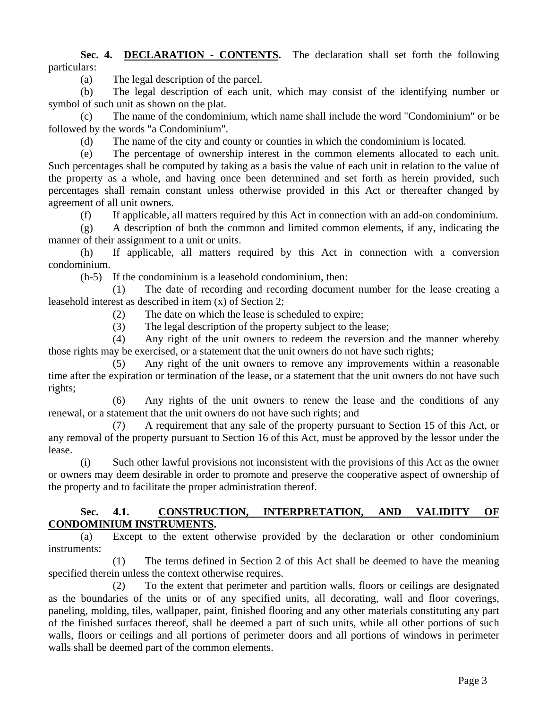#### **Sec. 4. DECLARATION - CONTENTS.** The declaration shall set forth the following particulars:

(a) The legal description of the parcel.

 (b) The legal description of each unit, which may consist of the identifying number or symbol of such unit as shown on the plat.

 (c) The name of the condominium, which name shall include the word "Condominium" or be followed by the words "a Condominium".

(d) The name of the city and county or counties in which the condominium is located.

 (e) The percentage of ownership interest in the common elements allocated to each unit. Such percentages shall be computed by taking as a basis the value of each unit in relation to the value of the property as a whole, and having once been determined and set forth as herein provided, such percentages shall remain constant unless otherwise provided in this Act or thereafter changed by agreement of all unit owners.

(f) If applicable, all matters required by this Act in connection with an add-on condominium.

 (g) A description of both the common and limited common elements, if any, indicating the manner of their assignment to a unit or units.

 (h) If applicable, all matters required by this Act in connection with a conversion condominium.

(h-5) If the condominium is a leasehold condominium, then:

 (1) The date of recording and recording document number for the lease creating a leasehold interest as described in item (x) of Section 2;

(2) The date on which the lease is scheduled to expire;

(3) The legal description of the property subject to the lease;

 (4) Any right of the unit owners to redeem the reversion and the manner whereby those rights may be exercised, or a statement that the unit owners do not have such rights;

 (5) Any right of the unit owners to remove any improvements within a reasonable time after the expiration or termination of the lease, or a statement that the unit owners do not have such rights;

 (6) Any rights of the unit owners to renew the lease and the conditions of any renewal, or a statement that the unit owners do not have such rights; and

 (7) A requirement that any sale of the property pursuant to Section 15 of this Act, or any removal of the property pursuant to Section 16 of this Act, must be approved by the lessor under the lease.

 (i) Such other lawful provisions not inconsistent with the provisions of this Act as the owner or owners may deem desirable in order to promote and preserve the cooperative aspect of ownership of the property and to facilitate the proper administration thereof.

#### **Sec. 4.1. CONSTRUCTION, INTERPRETATION, AND VALIDITY OF CONDOMINIUM INSTRUMENTS.**

 (a) Except to the extent otherwise provided by the declaration or other condominium instruments:

 (1) The terms defined in Section 2 of this Act shall be deemed to have the meaning specified therein unless the context otherwise requires.

 (2) To the extent that perimeter and partition walls, floors or ceilings are designated as the boundaries of the units or of any specified units, all decorating, wall and floor coverings, paneling, molding, tiles, wallpaper, paint, finished flooring and any other materials constituting any part of the finished surfaces thereof, shall be deemed a part of such units, while all other portions of such walls, floors or ceilings and all portions of perimeter doors and all portions of windows in perimeter walls shall be deemed part of the common elements.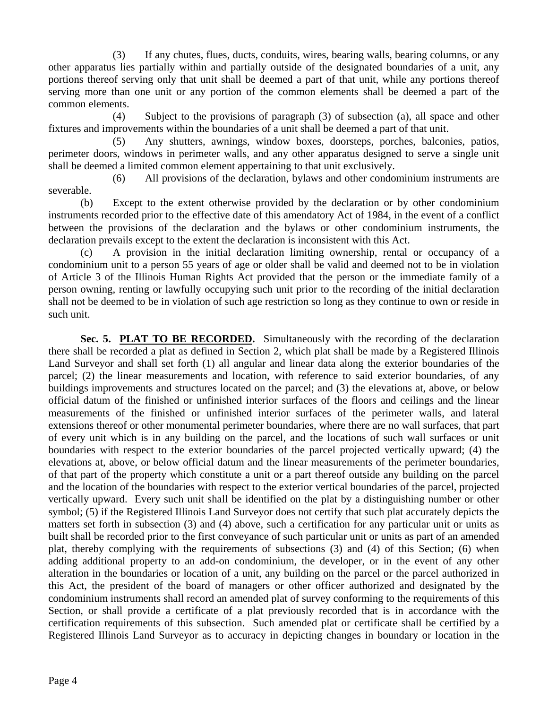(3) If any chutes, flues, ducts, conduits, wires, bearing walls, bearing columns, or any other apparatus lies partially within and partially outside of the designated boundaries of a unit, any portions thereof serving only that unit shall be deemed a part of that unit, while any portions thereof serving more than one unit or any portion of the common elements shall be deemed a part of the common elements.

 (4) Subject to the provisions of paragraph (3) of subsection (a), all space and other fixtures and improvements within the boundaries of a unit shall be deemed a part of that unit.

 (5) Any shutters, awnings, window boxes, doorsteps, porches, balconies, patios, perimeter doors, windows in perimeter walls, and any other apparatus designed to serve a single unit shall be deemed a limited common element appertaining to that unit exclusively.

 (6) All provisions of the declaration, bylaws and other condominium instruments are severable.

 (b) Except to the extent otherwise provided by the declaration or by other condominium instruments recorded prior to the effective date of this amendatory Act of 1984, in the event of a conflict between the provisions of the declaration and the bylaws or other condominium instruments, the declaration prevails except to the extent the declaration is inconsistent with this Act.

 (c) A provision in the initial declaration limiting ownership, rental or occupancy of a condominium unit to a person 55 years of age or older shall be valid and deemed not to be in violation of Article 3 of the Illinois Human Rights Act provided that the person or the immediate family of a person owning, renting or lawfully occupying such unit prior to the recording of the initial declaration shall not be deemed to be in violation of such age restriction so long as they continue to own or reside in such unit.

**Sec. 5. PLAT TO BE RECORDED.** Simultaneously with the recording of the declaration there shall be recorded a plat as defined in Section 2, which plat shall be made by a Registered Illinois Land Surveyor and shall set forth (1) all angular and linear data along the exterior boundaries of the parcel; (2) the linear measurements and location, with reference to said exterior boundaries, of any buildings improvements and structures located on the parcel; and (3) the elevations at, above, or below official datum of the finished or unfinished interior surfaces of the floors and ceilings and the linear measurements of the finished or unfinished interior surfaces of the perimeter walls, and lateral extensions thereof or other monumental perimeter boundaries, where there are no wall surfaces, that part of every unit which is in any building on the parcel, and the locations of such wall surfaces or unit boundaries with respect to the exterior boundaries of the parcel projected vertically upward; (4) the elevations at, above, or below official datum and the linear measurements of the perimeter boundaries, of that part of the property which constitute a unit or a part thereof outside any building on the parcel and the location of the boundaries with respect to the exterior vertical boundaries of the parcel, projected vertically upward. Every such unit shall be identified on the plat by a distinguishing number or other symbol; (5) if the Registered Illinois Land Surveyor does not certify that such plat accurately depicts the matters set forth in subsection (3) and (4) above, such a certification for any particular unit or units as built shall be recorded prior to the first conveyance of such particular unit or units as part of an amended plat, thereby complying with the requirements of subsections (3) and (4) of this Section; (6) when adding additional property to an add-on condominium, the developer, or in the event of any other alteration in the boundaries or location of a unit, any building on the parcel or the parcel authorized in this Act, the president of the board of managers or other officer authorized and designated by the condominium instruments shall record an amended plat of survey conforming to the requirements of this Section, or shall provide a certificate of a plat previously recorded that is in accordance with the certification requirements of this subsection. Such amended plat or certificate shall be certified by a Registered Illinois Land Surveyor as to accuracy in depicting changes in boundary or location in the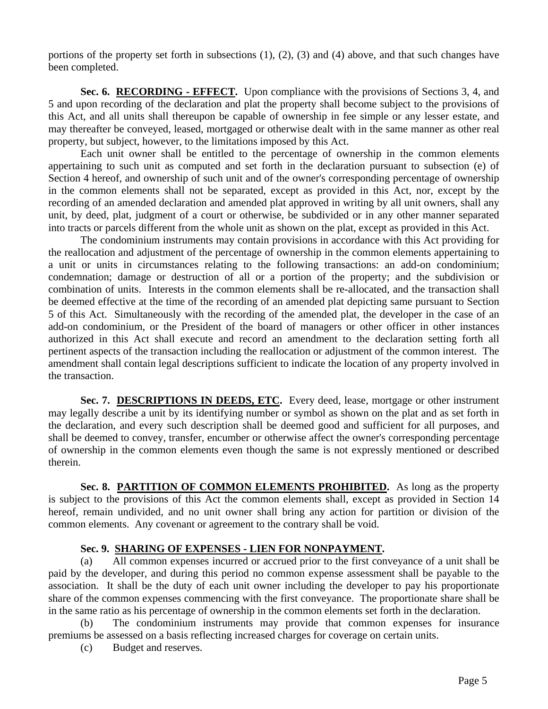portions of the property set forth in subsections (1), (2), (3) and (4) above, and that such changes have been completed.

**Sec. 6. RECORDING - EFFECT.** Upon compliance with the provisions of Sections 3, 4, and 5 and upon recording of the declaration and plat the property shall become subject to the provisions of this Act, and all units shall thereupon be capable of ownership in fee simple or any lesser estate, and may thereafter be conveyed, leased, mortgaged or otherwise dealt with in the same manner as other real property, but subject, however, to the limitations imposed by this Act.

 Each unit owner shall be entitled to the percentage of ownership in the common elements appertaining to such unit as computed and set forth in the declaration pursuant to subsection (e) of Section 4 hereof, and ownership of such unit and of the owner's corresponding percentage of ownership in the common elements shall not be separated, except as provided in this Act, nor, except by the recording of an amended declaration and amended plat approved in writing by all unit owners, shall any unit, by deed, plat, judgment of a court or otherwise, be subdivided or in any other manner separated into tracts or parcels different from the whole unit as shown on the plat, except as provided in this Act.

 The condominium instruments may contain provisions in accordance with this Act providing for the reallocation and adjustment of the percentage of ownership in the common elements appertaining to a unit or units in circumstances relating to the following transactions: an add-on condominium; condemnation; damage or destruction of all or a portion of the property; and the subdivision or combination of units. Interests in the common elements shall be re-allocated, and the transaction shall be deemed effective at the time of the recording of an amended plat depicting same pursuant to Section 5 of this Act. Simultaneously with the recording of the amended plat, the developer in the case of an add-on condominium, or the President of the board of managers or other officer in other instances authorized in this Act shall execute and record an amendment to the declaration setting forth all pertinent aspects of the transaction including the reallocation or adjustment of the common interest. The amendment shall contain legal descriptions sufficient to indicate the location of any property involved in the transaction.

Sec. 7. DESCRIPTIONS IN DEEDS, ETC. Every deed, lease, mortgage or other instrument may legally describe a unit by its identifying number or symbol as shown on the plat and as set forth in the declaration, and every such description shall be deemed good and sufficient for all purposes, and shall be deemed to convey, transfer, encumber or otherwise affect the owner's corresponding percentage of ownership in the common elements even though the same is not expressly mentioned or described therein.

Sec. 8. PARTITION OF COMMON ELEMENTS PROHIBITED. As long as the property is subject to the provisions of this Act the common elements shall, except as provided in Section 14 hereof, remain undivided, and no unit owner shall bring any action for partition or division of the common elements. Any covenant or agreement to the contrary shall be void.

## **Sec. 9. SHARING OF EXPENSES - LIEN FOR NONPAYMENT.**

 (a) All common expenses incurred or accrued prior to the first conveyance of a unit shall be paid by the developer, and during this period no common expense assessment shall be payable to the association. It shall be the duty of each unit owner including the developer to pay his proportionate share of the common expenses commencing with the first conveyance. The proportionate share shall be in the same ratio as his percentage of ownership in the common elements set forth in the declaration.

 (b) The condominium instruments may provide that common expenses for insurance premiums be assessed on a basis reflecting increased charges for coverage on certain units.

(c) Budget and reserves.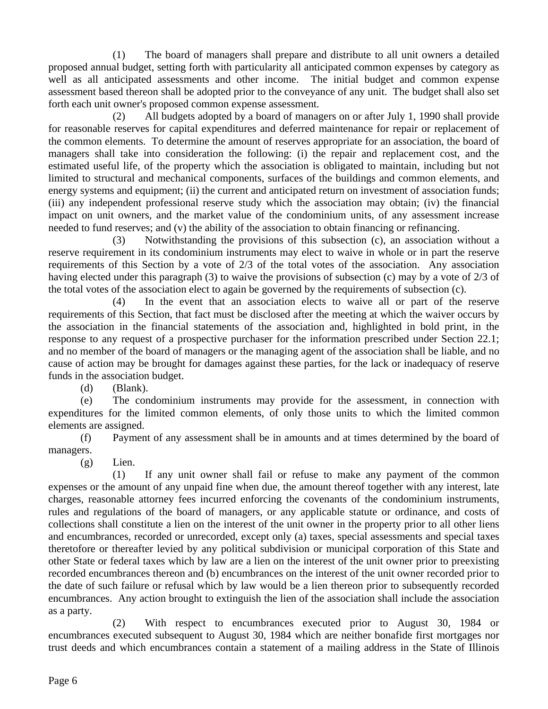(1) The board of managers shall prepare and distribute to all unit owners a detailed proposed annual budget, setting forth with particularity all anticipated common expenses by category as well as all anticipated assessments and other income. The initial budget and common expense assessment based thereon shall be adopted prior to the conveyance of any unit. The budget shall also set forth each unit owner's proposed common expense assessment.

 (2) All budgets adopted by a board of managers on or after July 1, 1990 shall provide for reasonable reserves for capital expenditures and deferred maintenance for repair or replacement of the common elements. To determine the amount of reserves appropriate for an association, the board of managers shall take into consideration the following: (i) the repair and replacement cost, and the estimated useful life, of the property which the association is obligated to maintain, including but not limited to structural and mechanical components, surfaces of the buildings and common elements, and energy systems and equipment; (ii) the current and anticipated return on investment of association funds; (iii) any independent professional reserve study which the association may obtain; (iv) the financial impact on unit owners, and the market value of the condominium units, of any assessment increase needed to fund reserves; and (v) the ability of the association to obtain financing or refinancing.

 (3) Notwithstanding the provisions of this subsection (c), an association without a reserve requirement in its condominium instruments may elect to waive in whole or in part the reserve requirements of this Section by a vote of 2/3 of the total votes of the association. Any association having elected under this paragraph (3) to waive the provisions of subsection (c) may by a vote of 2/3 of the total votes of the association elect to again be governed by the requirements of subsection (c).

 (4) In the event that an association elects to waive all or part of the reserve requirements of this Section, that fact must be disclosed after the meeting at which the waiver occurs by the association in the financial statements of the association and, highlighted in bold print, in the response to any request of a prospective purchaser for the information prescribed under Section 22.1; and no member of the board of managers or the managing agent of the association shall be liable, and no cause of action may be brought for damages against these parties, for the lack or inadequacy of reserve funds in the association budget.

(d) (Blank).

 (e) The condominium instruments may provide for the assessment, in connection with expenditures for the limited common elements, of only those units to which the limited common elements are assigned.

 (f) Payment of any assessment shall be in amounts and at times determined by the board of managers.

(g) Lien.

 (1) If any unit owner shall fail or refuse to make any payment of the common expenses or the amount of any unpaid fine when due, the amount thereof together with any interest, late charges, reasonable attorney fees incurred enforcing the covenants of the condominium instruments, rules and regulations of the board of managers, or any applicable statute or ordinance, and costs of collections shall constitute a lien on the interest of the unit owner in the property prior to all other liens and encumbrances, recorded or unrecorded, except only (a) taxes, special assessments and special taxes theretofore or thereafter levied by any political subdivision or municipal corporation of this State and other State or federal taxes which by law are a lien on the interest of the unit owner prior to preexisting recorded encumbrances thereon and (b) encumbrances on the interest of the unit owner recorded prior to the date of such failure or refusal which by law would be a lien thereon prior to subsequently recorded encumbrances. Any action brought to extinguish the lien of the association shall include the association as a party.

 (2) With respect to encumbrances executed prior to August 30, 1984 or encumbrances executed subsequent to August 30, 1984 which are neither bonafide first mortgages nor trust deeds and which encumbrances contain a statement of a mailing address in the State of Illinois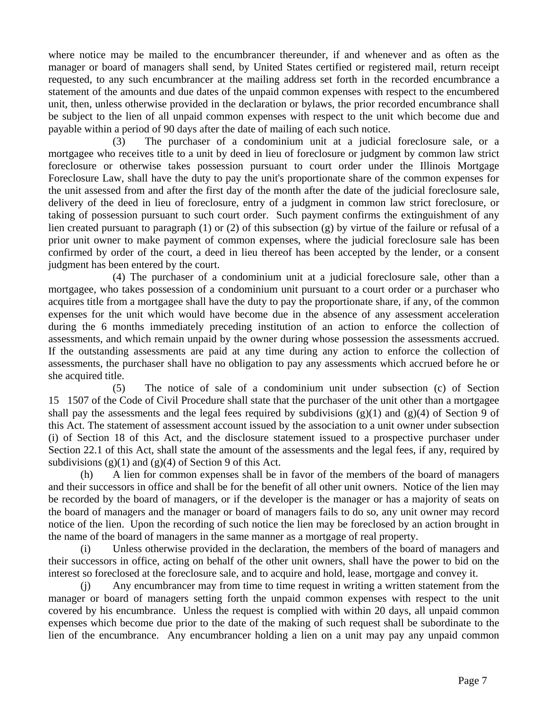where notice may be mailed to the encumbrancer thereunder, if and whenever and as often as the manager or board of managers shall send, by United States certified or registered mail, return receipt requested, to any such encumbrancer at the mailing address set forth in the recorded encumbrance a statement of the amounts and due dates of the unpaid common expenses with respect to the encumbered unit, then, unless otherwise provided in the declaration or bylaws, the prior recorded encumbrance shall be subject to the lien of all unpaid common expenses with respect to the unit which become due and payable within a period of 90 days after the date of mailing of each such notice.

 (3) The purchaser of a condominium unit at a judicial foreclosure sale, or a mortgagee who receives title to a unit by deed in lieu of foreclosure or judgment by common law strict foreclosure or otherwise takes possession pursuant to court order under the Illinois Mortgage Foreclosure Law, shall have the duty to pay the unit's proportionate share of the common expenses for the unit assessed from and after the first day of the month after the date of the judicial foreclosure sale, delivery of the deed in lieu of foreclosure, entry of a judgment in common law strict foreclosure, or taking of possession pursuant to such court order. Such payment confirms the extinguishment of any lien created pursuant to paragraph (1) or (2) of this subsection (g) by virtue of the failure or refusal of a prior unit owner to make payment of common expenses, where the judicial foreclosure sale has been confirmed by order of the court, a deed in lieu thereof has been accepted by the lender, or a consent judgment has been entered by the court.

 (4) The purchaser of a condominium unit at a judicial foreclosure sale, other than a mortgagee, who takes possession of a condominium unit pursuant to a court order or a purchaser who acquires title from a mortgagee shall have the duty to pay the proportionate share, if any, of the common expenses for the unit which would have become due in the absence of any assessment acceleration during the 6 months immediately preceding institution of an action to enforce the collection of assessments, and which remain unpaid by the owner during whose possession the assessments accrued. If the outstanding assessments are paid at any time during any action to enforce the collection of assessments, the purchaser shall have no obligation to pay any assessments which accrued before he or she acquired title.

 (5) The notice of sale of a condominium unit under subsection (c) of Section 151507 of the Code of Civil Procedure shall state that the purchaser of the unit other than a mortgagee shall pay the assessments and the legal fees required by subdivisions  $(g)(1)$  and  $(g)(4)$  of Section 9 of this Act. The statement of assessment account issued by the association to a unit owner under subsection (i) of Section 18 of this Act, and the disclosure statement issued to a prospective purchaser under Section 22.1 of this Act, shall state the amount of the assessments and the legal fees, if any, required by subdivisions  $(g)(1)$  and  $(g)(4)$  of Section 9 of this Act.

 (h) A lien for common expenses shall be in favor of the members of the board of managers and their successors in office and shall be for the benefit of all other unit owners. Notice of the lien may be recorded by the board of managers, or if the developer is the manager or has a majority of seats on the board of managers and the manager or board of managers fails to do so, any unit owner may record notice of the lien. Upon the recording of such notice the lien may be foreclosed by an action brought in the name of the board of managers in the same manner as a mortgage of real property.

 (i) Unless otherwise provided in the declaration, the members of the board of managers and their successors in office, acting on behalf of the other unit owners, shall have the power to bid on the interest so foreclosed at the foreclosure sale, and to acquire and hold, lease, mortgage and convey it.

 (j) Any encumbrancer may from time to time request in writing a written statement from the manager or board of managers setting forth the unpaid common expenses with respect to the unit covered by his encumbrance. Unless the request is complied with within 20 days, all unpaid common expenses which become due prior to the date of the making of such request shall be subordinate to the lien of the encumbrance. Any encumbrancer holding a lien on a unit may pay any unpaid common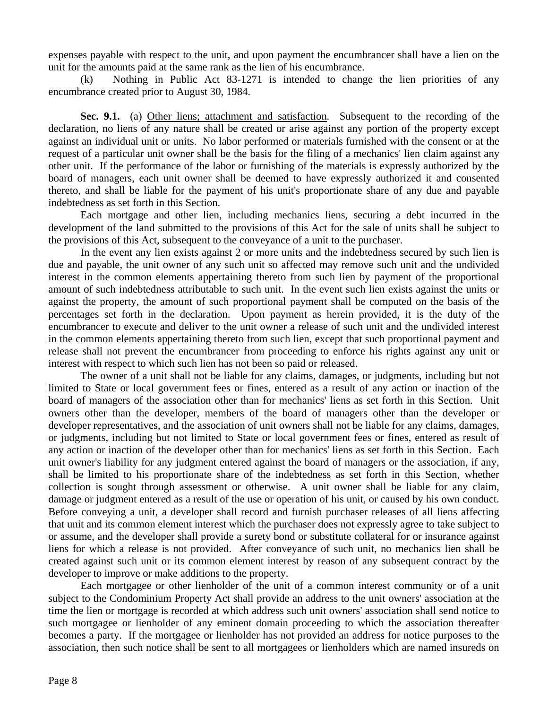expenses payable with respect to the unit, and upon payment the encumbrancer shall have a lien on the unit for the amounts paid at the same rank as the lien of his encumbrance.

 (k) Nothing in Public Act 83-1271 is intended to change the lien priorities of any encumbrance created prior to August 30, 1984.

Sec. 9.1. (a) Other liens; attachment and satisfaction. Subsequent to the recording of the declaration, no liens of any nature shall be created or arise against any portion of the property except against an individual unit or units. No labor performed or materials furnished with the consent or at the request of a particular unit owner shall be the basis for the filing of a mechanics' lien claim against any other unit. If the performance of the labor or furnishing of the materials is expressly authorized by the board of managers, each unit owner shall be deemed to have expressly authorized it and consented thereto, and shall be liable for the payment of his unit's proportionate share of any due and payable indebtedness as set forth in this Section.

 Each mortgage and other lien, including mechanics liens, securing a debt incurred in the development of the land submitted to the provisions of this Act for the sale of units shall be subject to the provisions of this Act, subsequent to the conveyance of a unit to the purchaser.

 In the event any lien exists against 2 or more units and the indebtedness secured by such lien is due and payable, the unit owner of any such unit so affected may remove such unit and the undivided interest in the common elements appertaining thereto from such lien by payment of the proportional amount of such indebtedness attributable to such unit. In the event such lien exists against the units or against the property, the amount of such proportional payment shall be computed on the basis of the percentages set forth in the declaration. Upon payment as herein provided, it is the duty of the encumbrancer to execute and deliver to the unit owner a release of such unit and the undivided interest in the common elements appertaining thereto from such lien, except that such proportional payment and release shall not prevent the encumbrancer from proceeding to enforce his rights against any unit or interest with respect to which such lien has not been so paid or released.

 The owner of a unit shall not be liable for any claims, damages, or judgments, including but not limited to State or local government fees or fines, entered as a result of any action or inaction of the board of managers of the association other than for mechanics' liens as set forth in this Section. Unit owners other than the developer, members of the board of managers other than the developer or developer representatives, and the association of unit owners shall not be liable for any claims, damages, or judgments, including but not limited to State or local government fees or fines, entered as result of any action or inaction of the developer other than for mechanics' liens as set forth in this Section. Each unit owner's liability for any judgment entered against the board of managers or the association, if any, shall be limited to his proportionate share of the indebtedness as set forth in this Section, whether collection is sought through assessment or otherwise. A unit owner shall be liable for any claim, damage or judgment entered as a result of the use or operation of his unit, or caused by his own conduct. Before conveying a unit, a developer shall record and furnish purchaser releases of all liens affecting that unit and its common element interest which the purchaser does not expressly agree to take subject to or assume, and the developer shall provide a surety bond or substitute collateral for or insurance against liens for which a release is not provided. After conveyance of such unit, no mechanics lien shall be created against such unit or its common element interest by reason of any subsequent contract by the developer to improve or make additions to the property.

 Each mortgagee or other lienholder of the unit of a common interest community or of a unit subject to the Condominium Property Act shall provide an address to the unit owners' association at the time the lien or mortgage is recorded at which address such unit owners' association shall send notice to such mortgagee or lienholder of any eminent domain proceeding to which the association thereafter becomes a party. If the mortgagee or lienholder has not provided an address for notice purposes to the association, then such notice shall be sent to all mortgagees or lienholders which are named insureds on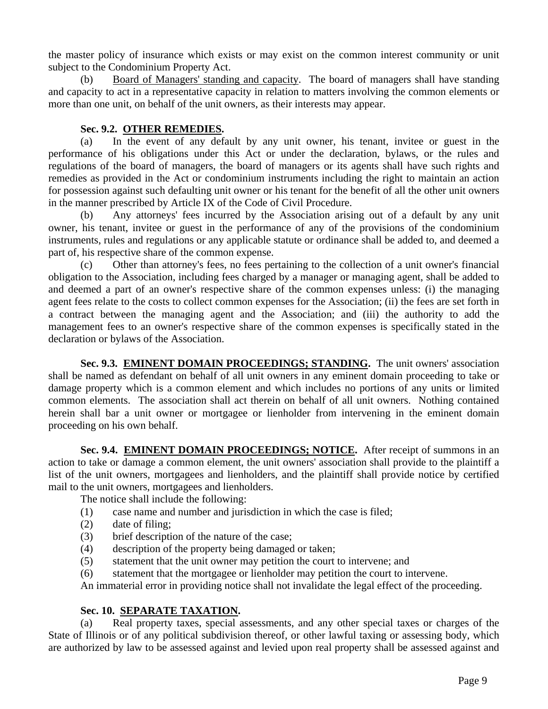the master policy of insurance which exists or may exist on the common interest community or unit subject to the Condominium Property Act.

 (b) Board of Managers' standing and capacity. The board of managers shall have standing and capacity to act in a representative capacity in relation to matters involving the common elements or more than one unit, on behalf of the unit owners, as their interests may appear.

## **Sec. 9.2. OTHER REMEDIES.**

 (a) In the event of any default by any unit owner, his tenant, invitee or guest in the performance of his obligations under this Act or under the declaration, bylaws, or the rules and regulations of the board of managers, the board of managers or its agents shall have such rights and remedies as provided in the Act or condominium instruments including the right to maintain an action for possession against such defaulting unit owner or his tenant for the benefit of all the other unit owners in the manner prescribed by Article IX of the Code of Civil Procedure.

 (b) Any attorneys' fees incurred by the Association arising out of a default by any unit owner, his tenant, invitee or guest in the performance of any of the provisions of the condominium instruments, rules and regulations or any applicable statute or ordinance shall be added to, and deemed a part of, his respective share of the common expense.

 (c) Other than attorney's fees, no fees pertaining to the collection of a unit owner's financial obligation to the Association, including fees charged by a manager or managing agent, shall be added to and deemed a part of an owner's respective share of the common expenses unless: (i) the managing agent fees relate to the costs to collect common expenses for the Association; (ii) the fees are set forth in a contract between the managing agent and the Association; and (iii) the authority to add the management fees to an owner's respective share of the common expenses is specifically stated in the declaration or bylaws of the Association.

**Sec. 9.3. EMINENT DOMAIN PROCEEDINGS; STANDING.** The unit owners' association shall be named as defendant on behalf of all unit owners in any eminent domain proceeding to take or damage property which is a common element and which includes no portions of any units or limited common elements. The association shall act therein on behalf of all unit owners. Nothing contained herein shall bar a unit owner or mortgagee or lienholder from intervening in the eminent domain proceeding on his own behalf.

**Sec. 9.4. EMINENT DOMAIN PROCEEDINGS; NOTICE.** After receipt of summons in an action to take or damage a common element, the unit owners' association shall provide to the plaintiff a list of the unit owners, mortgagees and lienholders, and the plaintiff shall provide notice by certified mail to the unit owners, mortgagees and lienholders.

The notice shall include the following:

- (1) case name and number and jurisdiction in which the case is filed;
- (2) date of filing;
- (3) brief description of the nature of the case;
- (4) description of the property being damaged or taken;
- (5) statement that the unit owner may petition the court to intervene; and
- (6) statement that the mortgagee or lienholder may petition the court to intervene.

An immaterial error in providing notice shall not invalidate the legal effect of the proceeding.

## **Sec. 10. SEPARATE TAXATION.**

 (a) Real property taxes, special assessments, and any other special taxes or charges of the State of Illinois or of any political subdivision thereof, or other lawful taxing or assessing body, which are authorized by law to be assessed against and levied upon real property shall be assessed against and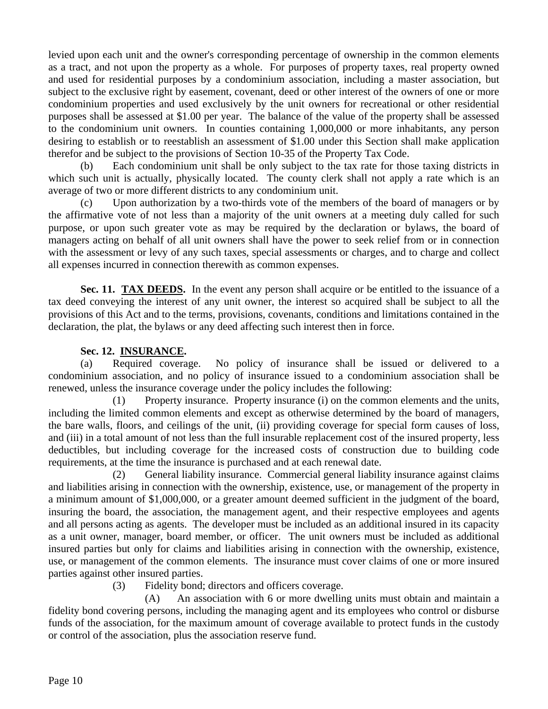levied upon each unit and the owner's corresponding percentage of ownership in the common elements as a tract, and not upon the property as a whole. For purposes of property taxes, real property owned and used for residential purposes by a condominium association, including a master association, but subject to the exclusive right by easement, covenant, deed or other interest of the owners of one or more condominium properties and used exclusively by the unit owners for recreational or other residential purposes shall be assessed at \$1.00 per year. The balance of the value of the property shall be assessed to the condominium unit owners. In counties containing 1,000,000 or more inhabitants, any person desiring to establish or to reestablish an assessment of \$1.00 under this Section shall make application therefor and be subject to the provisions of Section 10-35 of the Property Tax Code.

 (b) Each condominium unit shall be only subject to the tax rate for those taxing districts in which such unit is actually, physically located. The county clerk shall not apply a rate which is an average of two or more different districts to any condominium unit.

 (c) Upon authorization by a two-thirds vote of the members of the board of managers or by the affirmative vote of not less than a majority of the unit owners at a meeting duly called for such purpose, or upon such greater vote as may be required by the declaration or bylaws, the board of managers acting on behalf of all unit owners shall have the power to seek relief from or in connection with the assessment or levy of any such taxes, special assessments or charges, and to charge and collect all expenses incurred in connection therewith as common expenses.

**Sec. 11. TAX DEEDS.** In the event any person shall acquire or be entitled to the issuance of a tax deed conveying the interest of any unit owner, the interest so acquired shall be subject to all the provisions of this Act and to the terms, provisions, covenants, conditions and limitations contained in the declaration, the plat, the bylaws or any deed affecting such interest then in force.

#### **Sec. 12. INSURANCE.**

 (a) Required coverage. No policy of insurance shall be issued or delivered to a condominium association, and no policy of insurance issued to a condominium association shall be renewed, unless the insurance coverage under the policy includes the following:

 (1) Property insurance. Property insurance (i) on the common elements and the units, including the limited common elements and except as otherwise determined by the board of managers, the bare walls, floors, and ceilings of the unit, (ii) providing coverage for special form causes of loss, and (iii) in a total amount of not less than the full insurable replacement cost of the insured property, less deductibles, but including coverage for the increased costs of construction due to building code requirements, at the time the insurance is purchased and at each renewal date.

 (2) General liability insurance. Commercial general liability insurance against claims and liabilities arising in connection with the ownership, existence, use, or management of the property in a minimum amount of \$1,000,000, or a greater amount deemed sufficient in the judgment of the board, insuring the board, the association, the management agent, and their respective employees and agents and all persons acting as agents. The developer must be included as an additional insured in its capacity as a unit owner, manager, board member, or officer. The unit owners must be included as additional insured parties but only for claims and liabilities arising in connection with the ownership, existence, use, or management of the common elements. The insurance must cover claims of one or more insured parties against other insured parties.

(3) Fidelity bond; directors and officers coverage.

 (A) An association with 6 or more dwelling units must obtain and maintain a fidelity bond covering persons, including the managing agent and its employees who control or disburse funds of the association, for the maximum amount of coverage available to protect funds in the custody or control of the association, plus the association reserve fund.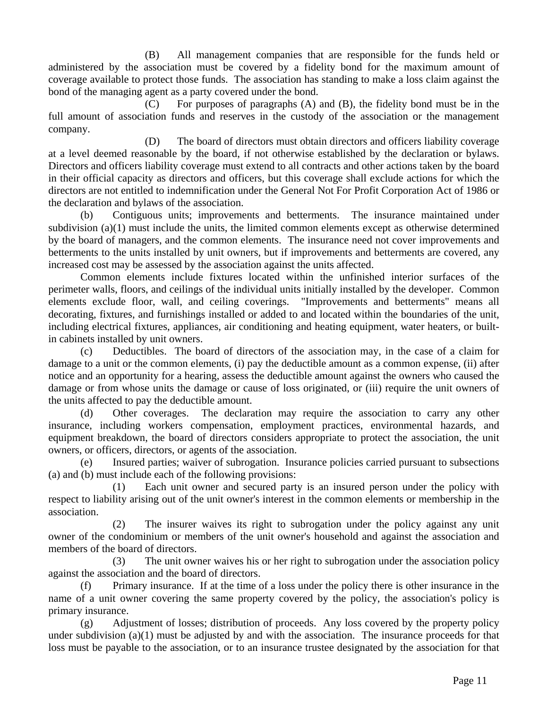(B) All management companies that are responsible for the funds held or administered by the association must be covered by a fidelity bond for the maximum amount of coverage available to protect those funds. The association has standing to make a loss claim against the bond of the managing agent as a party covered under the bond.

 (C) For purposes of paragraphs (A) and (B), the fidelity bond must be in the full amount of association funds and reserves in the custody of the association or the management company.

 (D) The board of directors must obtain directors and officers liability coverage at a level deemed reasonable by the board, if not otherwise established by the declaration or bylaws. Directors and officers liability coverage must extend to all contracts and other actions taken by the board in their official capacity as directors and officers, but this coverage shall exclude actions for which the directors are not entitled to indemnification under the General Not For Profit Corporation Act of 1986 or the declaration and bylaws of the association.

 (b) Contiguous units; improvements and betterments. The insurance maintained under subdivision  $(a)(1)$  must include the units, the limited common elements except as otherwise determined by the board of managers, and the common elements. The insurance need not cover improvements and betterments to the units installed by unit owners, but if improvements and betterments are covered, any increased cost may be assessed by the association against the units affected.

 Common elements include fixtures located within the unfinished interior surfaces of the perimeter walls, floors, and ceilings of the individual units initially installed by the developer. Common elements exclude floor, wall, and ceiling coverings. "Improvements and betterments" means all decorating, fixtures, and furnishings installed or added to and located within the boundaries of the unit, including electrical fixtures, appliances, air conditioning and heating equipment, water heaters, or builtin cabinets installed by unit owners.

 (c) Deductibles. The board of directors of the association may, in the case of a claim for damage to a unit or the common elements, (i) pay the deductible amount as a common expense, (ii) after notice and an opportunity for a hearing, assess the deductible amount against the owners who caused the damage or from whose units the damage or cause of loss originated, or (iii) require the unit owners of the units affected to pay the deductible amount.

 (d) Other coverages. The declaration may require the association to carry any other insurance, including workers compensation, employment practices, environmental hazards, and equipment breakdown, the board of directors considers appropriate to protect the association, the unit owners, or officers, directors, or agents of the association.

 (e) Insured parties; waiver of subrogation. Insurance policies carried pursuant to subsections (a) and (b) must include each of the following provisions:

 (1) Each unit owner and secured party is an insured person under the policy with respect to liability arising out of the unit owner's interest in the common elements or membership in the association.

 (2) The insurer waives its right to subrogation under the policy against any unit owner of the condominium or members of the unit owner's household and against the association and members of the board of directors.

 (3) The unit owner waives his or her right to subrogation under the association policy against the association and the board of directors.

 (f) Primary insurance. If at the time of a loss under the policy there is other insurance in the name of a unit owner covering the same property covered by the policy, the association's policy is primary insurance.

 (g) Adjustment of losses; distribution of proceeds. Any loss covered by the property policy under subdivision (a)(1) must be adjusted by and with the association. The insurance proceeds for that loss must be payable to the association, or to an insurance trustee designated by the association for that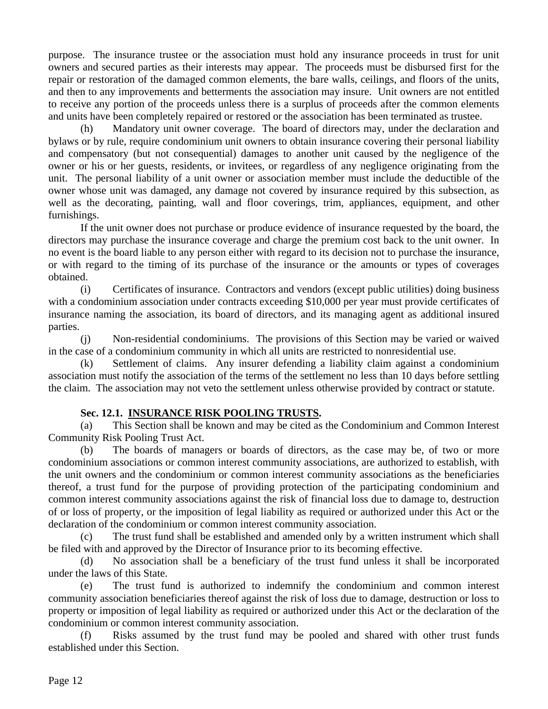purpose. The insurance trustee or the association must hold any insurance proceeds in trust for unit owners and secured parties as their interests may appear. The proceeds must be disbursed first for the repair or restoration of the damaged common elements, the bare walls, ceilings, and floors of the units, and then to any improvements and betterments the association may insure. Unit owners are not entitled to receive any portion of the proceeds unless there is a surplus of proceeds after the common elements and units have been completely repaired or restored or the association has been terminated as trustee.

 (h) Mandatory unit owner coverage. The board of directors may, under the declaration and bylaws or by rule, require condominium unit owners to obtain insurance covering their personal liability and compensatory (but not consequential) damages to another unit caused by the negligence of the owner or his or her guests, residents, or invitees, or regardless of any negligence originating from the unit. The personal liability of a unit owner or association member must include the deductible of the owner whose unit was damaged, any damage not covered by insurance required by this subsection, as well as the decorating, painting, wall and floor coverings, trim, appliances, equipment, and other furnishings.

 If the unit owner does not purchase or produce evidence of insurance requested by the board, the directors may purchase the insurance coverage and charge the premium cost back to the unit owner. In no event is the board liable to any person either with regard to its decision not to purchase the insurance, or with regard to the timing of its purchase of the insurance or the amounts or types of coverages obtained.

 (i) Certificates of insurance. Contractors and vendors (except public utilities) doing business with a condominium association under contracts exceeding \$10,000 per year must provide certificates of insurance naming the association, its board of directors, and its managing agent as additional insured parties.

 (j) Non-residential condominiums. The provisions of this Section may be varied or waived in the case of a condominium community in which all units are restricted to nonresidential use.

 (k) Settlement of claims. Any insurer defending a liability claim against a condominium association must notify the association of the terms of the settlement no less than 10 days before settling the claim. The association may not veto the settlement unless otherwise provided by contract or statute.

## **Sec. 12.1. INSURANCE RISK POOLING TRUSTS.**

 (a) This Section shall be known and may be cited as the Condominium and Common Interest Community Risk Pooling Trust Act.

 (b) The boards of managers or boards of directors, as the case may be, of two or more condominium associations or common interest community associations, are authorized to establish, with the unit owners and the condominium or common interest community associations as the beneficiaries thereof, a trust fund for the purpose of providing protection of the participating condominium and common interest community associations against the risk of financial loss due to damage to, destruction of or loss of property, or the imposition of legal liability as required or authorized under this Act or the declaration of the condominium or common interest community association.

 (c) The trust fund shall be established and amended only by a written instrument which shall be filed with and approved by the Director of Insurance prior to its becoming effective.

 (d) No association shall be a beneficiary of the trust fund unless it shall be incorporated under the laws of this State.

 (e) The trust fund is authorized to indemnify the condominium and common interest community association beneficiaries thereof against the risk of loss due to damage, destruction or loss to property or imposition of legal liability as required or authorized under this Act or the declaration of the condominium or common interest community association.

 (f) Risks assumed by the trust fund may be pooled and shared with other trust funds established under this Section.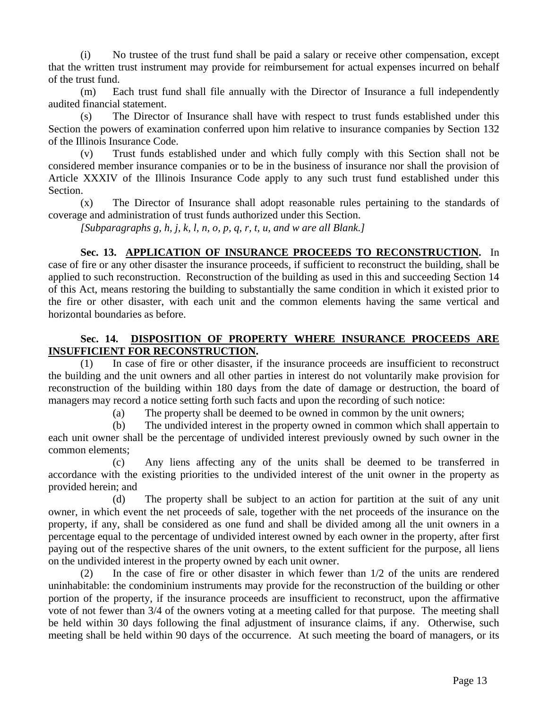(i) No trustee of the trust fund shall be paid a salary or receive other compensation, except that the written trust instrument may provide for reimbursement for actual expenses incurred on behalf of the trust fund.

 (m) Each trust fund shall file annually with the Director of Insurance a full independently audited financial statement.

 (s) The Director of Insurance shall have with respect to trust funds established under this Section the powers of examination conferred upon him relative to insurance companies by Section 132 of the Illinois Insurance Code.

 (v) Trust funds established under and which fully comply with this Section shall not be considered member insurance companies or to be in the business of insurance nor shall the provision of Article XXXIV of the Illinois Insurance Code apply to any such trust fund established under this Section.

 (x) The Director of Insurance shall adopt reasonable rules pertaining to the standards of coverage and administration of trust funds authorized under this Section.

*[Subparagraphs g, h, j, k, l, n, o, p, q, r, t, u, and w are all Blank.]* 

**Sec. 13. APPLICATION OF INSURANCE PROCEEDS TO RECONSTRUCTION.** In case of fire or any other disaster the insurance proceeds, if sufficient to reconstruct the building, shall be applied to such reconstruction. Reconstruction of the building as used in this and succeeding Section 14 of this Act, means restoring the building to substantially the same condition in which it existed prior to the fire or other disaster, with each unit and the common elements having the same vertical and horizontal boundaries as before.

## **Sec. 14. DISPOSITION OF PROPERTY WHERE INSURANCE PROCEEDS ARE INSUFFICIENT FOR RECONSTRUCTION.**

 (1) In case of fire or other disaster, if the insurance proceeds are insufficient to reconstruct the building and the unit owners and all other parties in interest do not voluntarily make provision for reconstruction of the building within 180 days from the date of damage or destruction, the board of managers may record a notice setting forth such facts and upon the recording of such notice:

(a) The property shall be deemed to be owned in common by the unit owners;

 (b) The undivided interest in the property owned in common which shall appertain to each unit owner shall be the percentage of undivided interest previously owned by such owner in the common elements;

 (c) Any liens affecting any of the units shall be deemed to be transferred in accordance with the existing priorities to the undivided interest of the unit owner in the property as provided herein; and

 (d) The property shall be subject to an action for partition at the suit of any unit owner, in which event the net proceeds of sale, together with the net proceeds of the insurance on the property, if any, shall be considered as one fund and shall be divided among all the unit owners in a percentage equal to the percentage of undivided interest owned by each owner in the property, after first paying out of the respective shares of the unit owners, to the extent sufficient for the purpose, all liens on the undivided interest in the property owned by each unit owner.

 (2) In the case of fire or other disaster in which fewer than 1/2 of the units are rendered uninhabitable: the condominium instruments may provide for the reconstruction of the building or other portion of the property, if the insurance proceeds are insufficient to reconstruct, upon the affirmative vote of not fewer than 3/4 of the owners voting at a meeting called for that purpose. The meeting shall be held within 30 days following the final adjustment of insurance claims, if any. Otherwise, such meeting shall be held within 90 days of the occurrence. At such meeting the board of managers, or its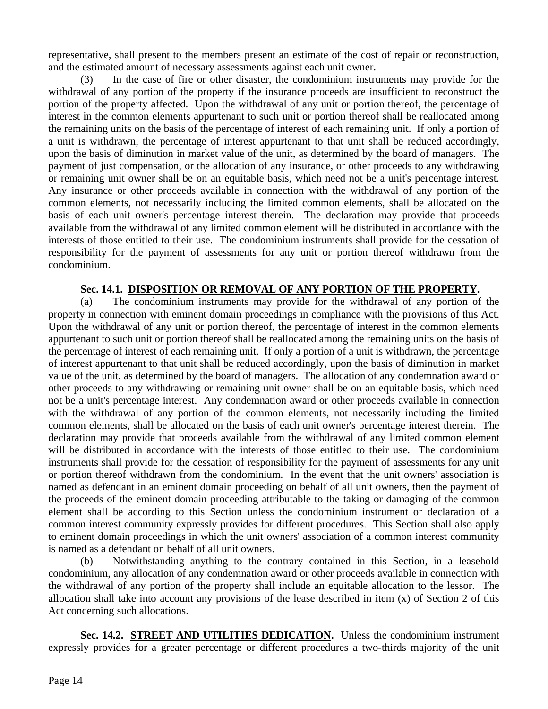representative, shall present to the members present an estimate of the cost of repair or reconstruction, and the estimated amount of necessary assessments against each unit owner.

 (3) In the case of fire or other disaster, the condominium instruments may provide for the withdrawal of any portion of the property if the insurance proceeds are insufficient to reconstruct the portion of the property affected. Upon the withdrawal of any unit or portion thereof, the percentage of interest in the common elements appurtenant to such unit or portion thereof shall be reallocated among the remaining units on the basis of the percentage of interest of each remaining unit. If only a portion of a unit is withdrawn, the percentage of interest appurtenant to that unit shall be reduced accordingly, upon the basis of diminution in market value of the unit, as determined by the board of managers. The payment of just compensation, or the allocation of any insurance, or other proceeds to any withdrawing or remaining unit owner shall be on an equitable basis, which need not be a unit's percentage interest. Any insurance or other proceeds available in connection with the withdrawal of any portion of the common elements, not necessarily including the limited common elements, shall be allocated on the basis of each unit owner's percentage interest therein. The declaration may provide that proceeds available from the withdrawal of any limited common element will be distributed in accordance with the interests of those entitled to their use. The condominium instruments shall provide for the cessation of responsibility for the payment of assessments for any unit or portion thereof withdrawn from the condominium.

## **Sec. 14.1. DISPOSITION OR REMOVAL OF ANY PORTION OF THE PROPERTY.**

 (a) The condominium instruments may provide for the withdrawal of any portion of the property in connection with eminent domain proceedings in compliance with the provisions of this Act. Upon the withdrawal of any unit or portion thereof, the percentage of interest in the common elements appurtenant to such unit or portion thereof shall be reallocated among the remaining units on the basis of the percentage of interest of each remaining unit. If only a portion of a unit is withdrawn, the percentage of interest appurtenant to that unit shall be reduced accordingly, upon the basis of diminution in market value of the unit, as determined by the board of managers. The allocation of any condemnation award or other proceeds to any withdrawing or remaining unit owner shall be on an equitable basis, which need not be a unit's percentage interest. Any condemnation award or other proceeds available in connection with the withdrawal of any portion of the common elements, not necessarily including the limited common elements, shall be allocated on the basis of each unit owner's percentage interest therein. The declaration may provide that proceeds available from the withdrawal of any limited common element will be distributed in accordance with the interests of those entitled to their use. The condominium instruments shall provide for the cessation of responsibility for the payment of assessments for any unit or portion thereof withdrawn from the condominium. In the event that the unit owners' association is named as defendant in an eminent domain proceeding on behalf of all unit owners, then the payment of the proceeds of the eminent domain proceeding attributable to the taking or damaging of the common element shall be according to this Section unless the condominium instrument or declaration of a common interest community expressly provides for different procedures. This Section shall also apply to eminent domain proceedings in which the unit owners' association of a common interest community is named as a defendant on behalf of all unit owners.

 (b) Notwithstanding anything to the contrary contained in this Section, in a leasehold condominium, any allocation of any condemnation award or other proceeds available in connection with the withdrawal of any portion of the property shall include an equitable allocation to the lessor. The allocation shall take into account any provisions of the lease described in item (x) of Section 2 of this Act concerning such allocations.

**Sec. 14.2. STREET AND UTILITIES DEDICATION.** Unless the condominium instrument expressly provides for a greater percentage or different procedures a two-thirds majority of the unit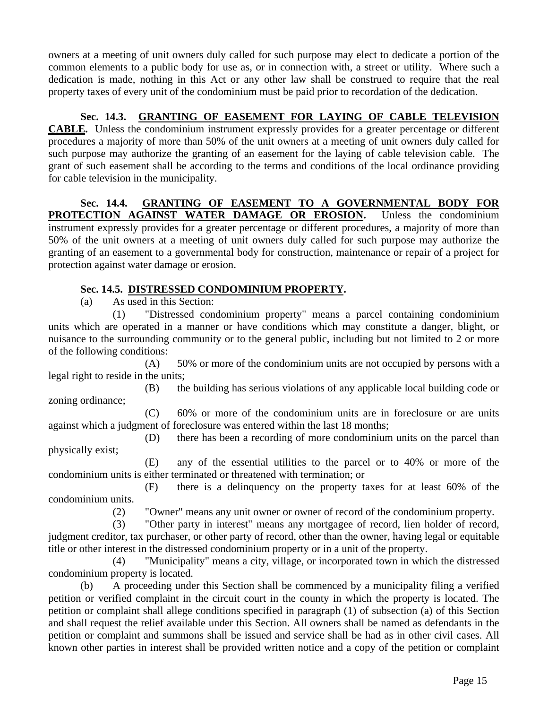owners at a meeting of unit owners duly called for such purpose may elect to dedicate a portion of the common elements to a public body for use as, or in connection with, a street or utility. Where such a dedication is made, nothing in this Act or any other law shall be construed to require that the real property taxes of every unit of the condominium must be paid prior to recordation of the dedication.

**Sec. 14.3. GRANTING OF EASEMENT FOR LAYING OF CABLE TELEVISION CABLE.** Unless the condominium instrument expressly provides for a greater percentage or different procedures a majority of more than 50% of the unit owners at a meeting of unit owners duly called for such purpose may authorize the granting of an easement for the laying of cable television cable. The grant of such easement shall be according to the terms and conditions of the local ordinance providing for cable television in the municipality.

**Sec. 14.4. GRANTING OF EASEMENT TO A GOVERNMENTAL BODY FOR PROTECTION AGAINST WATER DAMAGE OR EROSION.** Unless the condominium instrument expressly provides for a greater percentage or different procedures, a majority of more than 50% of the unit owners at a meeting of unit owners duly called for such purpose may authorize the granting of an easement to a governmental body for construction, maintenance or repair of a project for protection against water damage or erosion.

## **Sec. 14.5. DISTRESSED CONDOMINIUM PROPERTY.**

(a) As used in this Section:

 (1) "Distressed condominium property" means a parcel containing condominium units which are operated in a manner or have conditions which may constitute a danger, blight, or nuisance to the surrounding community or to the general public, including but not limited to 2 or more of the following conditions:

 (A) 50% or more of the condominium units are not occupied by persons with a legal right to reside in the units;

 (B) the building has serious violations of any applicable local building code or zoning ordinance;

 (C) 60% or more of the condominium units are in foreclosure or are units against which a judgment of foreclosure was entered within the last 18 months;

 (D) there has been a recording of more condominium units on the parcel than physically exist;

 (E) any of the essential utilities to the parcel or to 40% or more of the condominium units is either terminated or threatened with termination; or

 (F) there is a delinquency on the property taxes for at least 60% of the condominium units.

(2) "Owner" means any unit owner or owner of record of the condominium property.

 (3) "Other party in interest" means any mortgagee of record, lien holder of record, judgment creditor, tax purchaser, or other party of record, other than the owner, having legal or equitable title or other interest in the distressed condominium property or in a unit of the property.

 (4) "Municipality" means a city, village, or incorporated town in which the distressed condominium property is located.

 (b) A proceeding under this Section shall be commenced by a municipality filing a verified petition or verified complaint in the circuit court in the county in which the property is located. The petition or complaint shall allege conditions specified in paragraph (1) of subsection (a) of this Section and shall request the relief available under this Section. All owners shall be named as defendants in the petition or complaint and summons shall be issued and service shall be had as in other civil cases. All known other parties in interest shall be provided written notice and a copy of the petition or complaint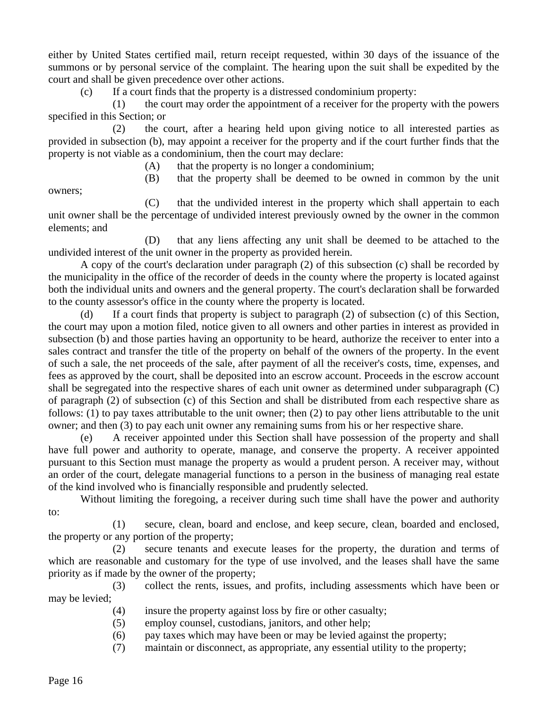either by United States certified mail, return receipt requested, within 30 days of the issuance of the summons or by personal service of the complaint. The hearing upon the suit shall be expedited by the court and shall be given precedence over other actions.

(c) If a court finds that the property is a distressed condominium property:

 (1) the court may order the appointment of a receiver for the property with the powers specified in this Section; or

 (2) the court, after a hearing held upon giving notice to all interested parties as provided in subsection (b), may appoint a receiver for the property and if the court further finds that the property is not viable as a condominium, then the court may declare:

(A) that the property is no longer a condominium;

(B) that the property shall be deemed to be owned in common by the unit

owners;

 (C) that the undivided interest in the property which shall appertain to each unit owner shall be the percentage of undivided interest previously owned by the owner in the common elements; and

 (D) that any liens affecting any unit shall be deemed to be attached to the undivided interest of the unit owner in the property as provided herein.

 A copy of the court's declaration under paragraph (2) of this subsection (c) shall be recorded by the municipality in the office of the recorder of deeds in the county where the property is located against both the individual units and owners and the general property. The court's declaration shall be forwarded to the county assessor's office in the county where the property is located.

If a court finds that property is subject to paragraph  $(2)$  of subsection  $(c)$  of this Section, the court may upon a motion filed, notice given to all owners and other parties in interest as provided in subsection (b) and those parties having an opportunity to be heard, authorize the receiver to enter into a sales contract and transfer the title of the property on behalf of the owners of the property. In the event of such a sale, the net proceeds of the sale, after payment of all the receiver's costs, time, expenses, and fees as approved by the court, shall be deposited into an escrow account. Proceeds in the escrow account shall be segregated into the respective shares of each unit owner as determined under subparagraph (C) of paragraph (2) of subsection (c) of this Section and shall be distributed from each respective share as follows: (1) to pay taxes attributable to the unit owner; then (2) to pay other liens attributable to the unit owner; and then (3) to pay each unit owner any remaining sums from his or her respective share.

 (e) A receiver appointed under this Section shall have possession of the property and shall have full power and authority to operate, manage, and conserve the property. A receiver appointed pursuant to this Section must manage the property as would a prudent person. A receiver may, without an order of the court, delegate managerial functions to a person in the business of managing real estate of the kind involved who is financially responsible and prudently selected.

 Without limiting the foregoing, a receiver during such time shall have the power and authority to:

 (1) secure, clean, board and enclose, and keep secure, clean, boarded and enclosed, the property or any portion of the property;

 (2) secure tenants and execute leases for the property, the duration and terms of which are reasonable and customary for the type of use involved, and the leases shall have the same priority as if made by the owner of the property;

 (3) collect the rents, issues, and profits, including assessments which have been or may be levied;

- (4) insure the property against loss by fire or other casualty;
- (5) employ counsel, custodians, janitors, and other help;
- (6) pay taxes which may have been or may be levied against the property;
- (7) maintain or disconnect, as appropriate, any essential utility to the property;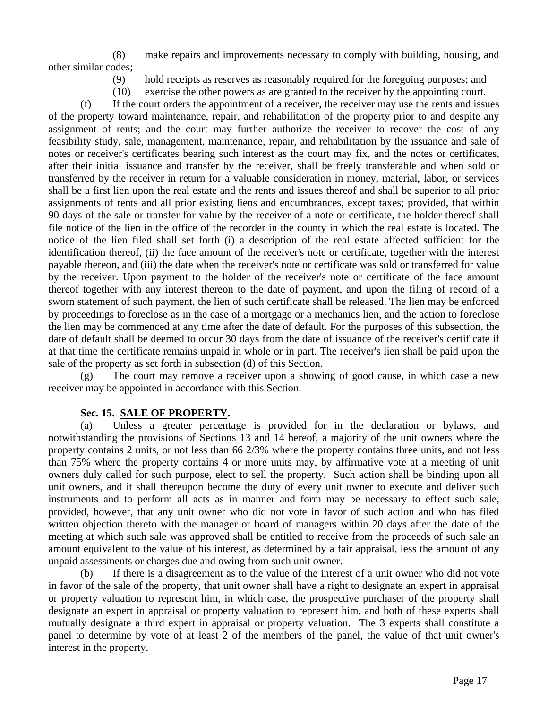(8) make repairs and improvements necessary to comply with building, housing, and other similar codes;

- (9) hold receipts as reserves as reasonably required for the foregoing purposes; and
- (10) exercise the other powers as are granted to the receiver by the appointing court.

 (f) If the court orders the appointment of a receiver, the receiver may use the rents and issues of the property toward maintenance, repair, and rehabilitation of the property prior to and despite any assignment of rents; and the court may further authorize the receiver to recover the cost of any feasibility study, sale, management, maintenance, repair, and rehabilitation by the issuance and sale of notes or receiver's certificates bearing such interest as the court may fix, and the notes or certificates, after their initial issuance and transfer by the receiver, shall be freely transferable and when sold or transferred by the receiver in return for a valuable consideration in money, material, labor, or services shall be a first lien upon the real estate and the rents and issues thereof and shall be superior to all prior assignments of rents and all prior existing liens and encumbrances, except taxes; provided, that within 90 days of the sale or transfer for value by the receiver of a note or certificate, the holder thereof shall file notice of the lien in the office of the recorder in the county in which the real estate is located. The notice of the lien filed shall set forth (i) a description of the real estate affected sufficient for the identification thereof, (ii) the face amount of the receiver's note or certificate, together with the interest payable thereon, and (iii) the date when the receiver's note or certificate was sold or transferred for value by the receiver. Upon payment to the holder of the receiver's note or certificate of the face amount thereof together with any interest thereon to the date of payment, and upon the filing of record of a sworn statement of such payment, the lien of such certificate shall be released. The lien may be enforced by proceedings to foreclose as in the case of a mortgage or a mechanics lien, and the action to foreclose the lien may be commenced at any time after the date of default. For the purposes of this subsection, the date of default shall be deemed to occur 30 days from the date of issuance of the receiver's certificate if at that time the certificate remains unpaid in whole or in part. The receiver's lien shall be paid upon the sale of the property as set forth in subsection (d) of this Section.

 (g) The court may remove a receiver upon a showing of good cause, in which case a new receiver may be appointed in accordance with this Section.

#### **Sec. 15. SALE OF PROPERTY.**

 (a) Unless a greater percentage is provided for in the declaration or bylaws, and notwithstanding the provisions of Sections 13 and 14 hereof, a majority of the unit owners where the property contains 2 units, or not less than 66 2/3% where the property contains three units, and not less than 75% where the property contains 4 or more units may, by affirmative vote at a meeting of unit owners duly called for such purpose, elect to sell the property. Such action shall be binding upon all unit owners, and it shall thereupon become the duty of every unit owner to execute and deliver such instruments and to perform all acts as in manner and form may be necessary to effect such sale, provided, however, that any unit owner who did not vote in favor of such action and who has filed written objection thereto with the manager or board of managers within 20 days after the date of the meeting at which such sale was approved shall be entitled to receive from the proceeds of such sale an amount equivalent to the value of his interest, as determined by a fair appraisal, less the amount of any unpaid assessments or charges due and owing from such unit owner.

 (b) If there is a disagreement as to the value of the interest of a unit owner who did not vote in favor of the sale of the property, that unit owner shall have a right to designate an expert in appraisal or property valuation to represent him, in which case, the prospective purchaser of the property shall designate an expert in appraisal or property valuation to represent him, and both of these experts shall mutually designate a third expert in appraisal or property valuation. The 3 experts shall constitute a panel to determine by vote of at least 2 of the members of the panel, the value of that unit owner's interest in the property.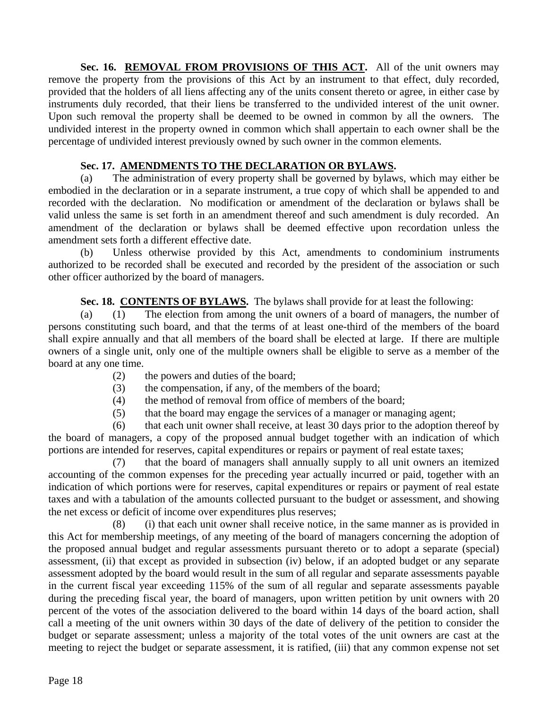Sec. 16. REMOVAL FROM PROVISIONS OF THIS ACT. All of the unit owners may remove the property from the provisions of this Act by an instrument to that effect, duly recorded, provided that the holders of all liens affecting any of the units consent thereto or agree, in either case by instruments duly recorded, that their liens be transferred to the undivided interest of the unit owner. Upon such removal the property shall be deemed to be owned in common by all the owners. The undivided interest in the property owned in common which shall appertain to each owner shall be the percentage of undivided interest previously owned by such owner in the common elements.

## **Sec. 17. AMENDMENTS TO THE DECLARATION OR BYLAWS.**

 (a) The administration of every property shall be governed by bylaws, which may either be embodied in the declaration or in a separate instrument, a true copy of which shall be appended to and recorded with the declaration. No modification or amendment of the declaration or bylaws shall be valid unless the same is set forth in an amendment thereof and such amendment is duly recorded. An amendment of the declaration or bylaws shall be deemed effective upon recordation unless the amendment sets forth a different effective date.

 (b) Unless otherwise provided by this Act, amendments to condominium instruments authorized to be recorded shall be executed and recorded by the president of the association or such other officer authorized by the board of managers.

**Sec. 18. CONTENTS OF BYLAWS.** The bylaws shall provide for at least the following:

 (a) (1) The election from among the unit owners of a board of managers, the number of persons constituting such board, and that the terms of at least one-third of the members of the board shall expire annually and that all members of the board shall be elected at large. If there are multiple owners of a single unit, only one of the multiple owners shall be eligible to serve as a member of the board at any one time.

- (2) the powers and duties of the board;
- (3) the compensation, if any, of the members of the board;
- (4) the method of removal from office of members of the board;
- (5) that the board may engage the services of a manager or managing agent;

 (6) that each unit owner shall receive, at least 30 days prior to the adoption thereof by the board of managers, a copy of the proposed annual budget together with an indication of which portions are intended for reserves, capital expenditures or repairs or payment of real estate taxes;

 (7) that the board of managers shall annually supply to all unit owners an itemized accounting of the common expenses for the preceding year actually incurred or paid, together with an indication of which portions were for reserves, capital expenditures or repairs or payment of real estate taxes and with a tabulation of the amounts collected pursuant to the budget or assessment, and showing the net excess or deficit of income over expenditures plus reserves;

 (8) (i) that each unit owner shall receive notice, in the same manner as is provided in this Act for membership meetings, of any meeting of the board of managers concerning the adoption of the proposed annual budget and regular assessments pursuant thereto or to adopt a separate (special) assessment, (ii) that except as provided in subsection (iv) below, if an adopted budget or any separate assessment adopted by the board would result in the sum of all regular and separate assessments payable in the current fiscal year exceeding 115% of the sum of all regular and separate assessments payable during the preceding fiscal year, the board of managers, upon written petition by unit owners with 20 percent of the votes of the association delivered to the board within 14 days of the board action, shall call a meeting of the unit owners within 30 days of the date of delivery of the petition to consider the budget or separate assessment; unless a majority of the total votes of the unit owners are cast at the meeting to reject the budget or separate assessment, it is ratified, (iii) that any common expense not set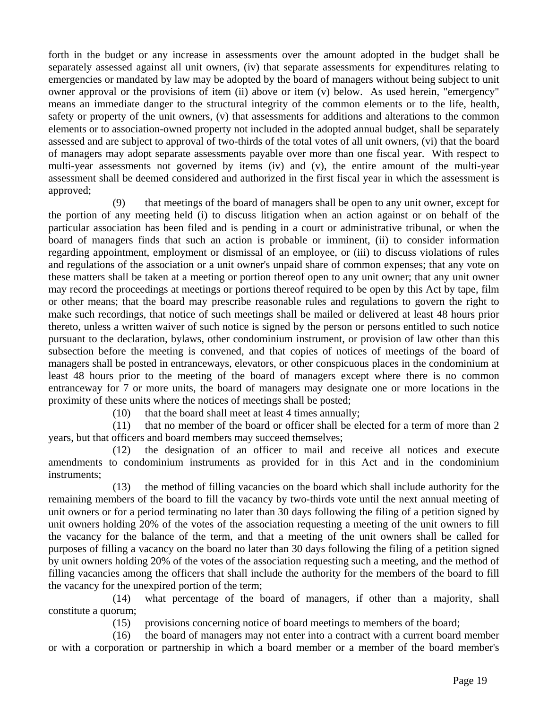forth in the budget or any increase in assessments over the amount adopted in the budget shall be separately assessed against all unit owners, (iv) that separate assessments for expenditures relating to emergencies or mandated by law may be adopted by the board of managers without being subject to unit owner approval or the provisions of item (ii) above or item (v) below. As used herein, "emergency" means an immediate danger to the structural integrity of the common elements or to the life, health, safety or property of the unit owners, (v) that assessments for additions and alterations to the common elements or to association-owned property not included in the adopted annual budget, shall be separately assessed and are subject to approval of two-thirds of the total votes of all unit owners, (vi) that the board of managers may adopt separate assessments payable over more than one fiscal year. With respect to multi-year assessments not governed by items (iv) and (v), the entire amount of the multi-year assessment shall be deemed considered and authorized in the first fiscal year in which the assessment is approved;

 (9) that meetings of the board of managers shall be open to any unit owner, except for the portion of any meeting held (i) to discuss litigation when an action against or on behalf of the particular association has been filed and is pending in a court or administrative tribunal, or when the board of managers finds that such an action is probable or imminent, (ii) to consider information regarding appointment, employment or dismissal of an employee, or (iii) to discuss violations of rules and regulations of the association or a unit owner's unpaid share of common expenses; that any vote on these matters shall be taken at a meeting or portion thereof open to any unit owner; that any unit owner may record the proceedings at meetings or portions thereof required to be open by this Act by tape, film or other means; that the board may prescribe reasonable rules and regulations to govern the right to make such recordings, that notice of such meetings shall be mailed or delivered at least 48 hours prior thereto, unless a written waiver of such notice is signed by the person or persons entitled to such notice pursuant to the declaration, bylaws, other condominium instrument, or provision of law other than this subsection before the meeting is convened, and that copies of notices of meetings of the board of managers shall be posted in entranceways, elevators, or other conspicuous places in the condominium at least 48 hours prior to the meeting of the board of managers except where there is no common entranceway for 7 or more units, the board of managers may designate one or more locations in the proximity of these units where the notices of meetings shall be posted;

(10) that the board shall meet at least 4 times annually;

 (11) that no member of the board or officer shall be elected for a term of more than 2 years, but that officers and board members may succeed themselves;

 (12) the designation of an officer to mail and receive all notices and execute amendments to condominium instruments as provided for in this Act and in the condominium instruments;

 (13) the method of filling vacancies on the board which shall include authority for the remaining members of the board to fill the vacancy by two-thirds vote until the next annual meeting of unit owners or for a period terminating no later than 30 days following the filing of a petition signed by unit owners holding 20% of the votes of the association requesting a meeting of the unit owners to fill the vacancy for the balance of the term, and that a meeting of the unit owners shall be called for purposes of filling a vacancy on the board no later than 30 days following the filing of a petition signed by unit owners holding 20% of the votes of the association requesting such a meeting, and the method of filling vacancies among the officers that shall include the authority for the members of the board to fill the vacancy for the unexpired portion of the term;

 (14) what percentage of the board of managers, if other than a majority, shall constitute a quorum;

(15) provisions concerning notice of board meetings to members of the board;

 (16) the board of managers may not enter into a contract with a current board member or with a corporation or partnership in which a board member or a member of the board member's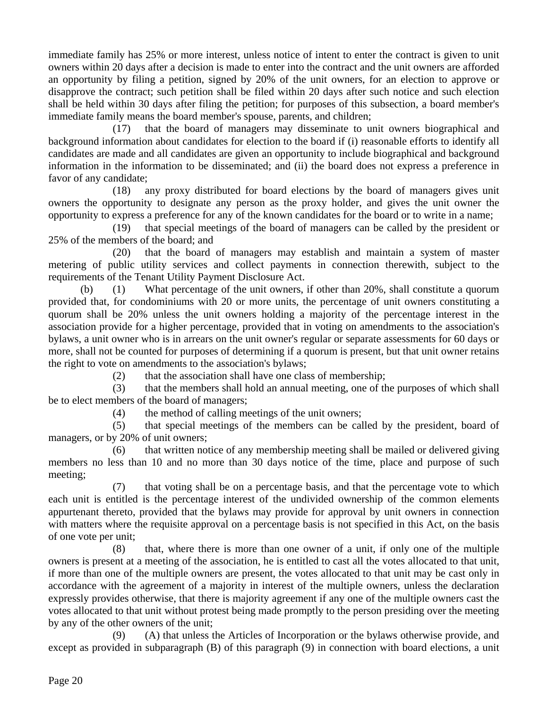immediate family has 25% or more interest, unless notice of intent to enter the contract is given to unit owners within 20 days after a decision is made to enter into the contract and the unit owners are afforded an opportunity by filing a petition, signed by 20% of the unit owners, for an election to approve or disapprove the contract; such petition shall be filed within 20 days after such notice and such election shall be held within 30 days after filing the petition; for purposes of this subsection, a board member's immediate family means the board member's spouse, parents, and children;

 (17) that the board of managers may disseminate to unit owners biographical and background information about candidates for election to the board if (i) reasonable efforts to identify all candidates are made and all candidates are given an opportunity to include biographical and background information in the information to be disseminated; and (ii) the board does not express a preference in favor of any candidate;

 (18) any proxy distributed for board elections by the board of managers gives unit owners the opportunity to designate any person as the proxy holder, and gives the unit owner the opportunity to express a preference for any of the known candidates for the board or to write in a name;

 (19) that special meetings of the board of managers can be called by the president or 25% of the members of the board; and

 (20) that the board of managers may establish and maintain a system of master metering of public utility services and collect payments in connection therewith, subject to the requirements of the Tenant Utility Payment Disclosure Act.

 (b) (1) What percentage of the unit owners, if other than 20%, shall constitute a quorum provided that, for condominiums with 20 or more units, the percentage of unit owners constituting a quorum shall be 20% unless the unit owners holding a majority of the percentage interest in the association provide for a higher percentage, provided that in voting on amendments to the association's bylaws, a unit owner who is in arrears on the unit owner's regular or separate assessments for 60 days or more, shall not be counted for purposes of determining if a quorum is present, but that unit owner retains the right to vote on amendments to the association's bylaws;

(2) that the association shall have one class of membership;

 (3) that the members shall hold an annual meeting, one of the purposes of which shall be to elect members of the board of managers;

(4) the method of calling meetings of the unit owners;

 (5) that special meetings of the members can be called by the president, board of managers, or by 20% of unit owners;

 (6) that written notice of any membership meeting shall be mailed or delivered giving members no less than 10 and no more than 30 days notice of the time, place and purpose of such meeting;

 (7) that voting shall be on a percentage basis, and that the percentage vote to which each unit is entitled is the percentage interest of the undivided ownership of the common elements appurtenant thereto, provided that the bylaws may provide for approval by unit owners in connection with matters where the requisite approval on a percentage basis is not specified in this Act, on the basis of one vote per unit;

 (8) that, where there is more than one owner of a unit, if only one of the multiple owners is present at a meeting of the association, he is entitled to cast all the votes allocated to that unit, if more than one of the multiple owners are present, the votes allocated to that unit may be cast only in accordance with the agreement of a majority in interest of the multiple owners, unless the declaration expressly provides otherwise, that there is majority agreement if any one of the multiple owners cast the votes allocated to that unit without protest being made promptly to the person presiding over the meeting by any of the other owners of the unit;

 (9) (A) that unless the Articles of Incorporation or the bylaws otherwise provide, and except as provided in subparagraph (B) of this paragraph (9) in connection with board elections, a unit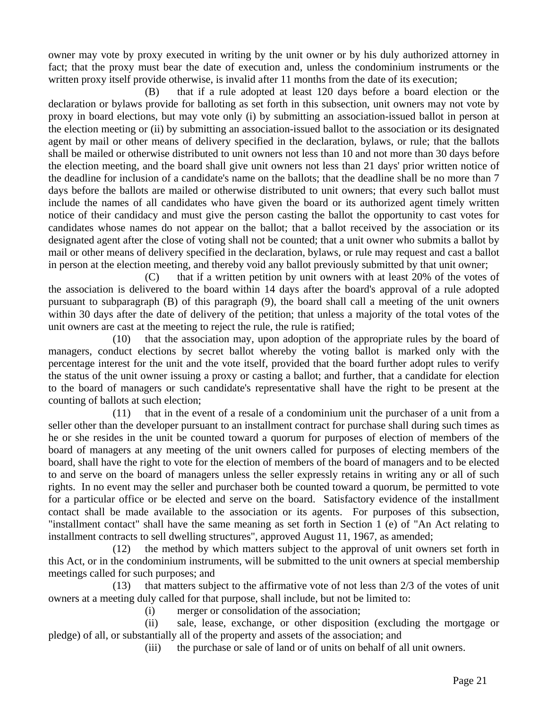owner may vote by proxy executed in writing by the unit owner or by his duly authorized attorney in fact; that the proxy must bear the date of execution and, unless the condominium instruments or the written proxy itself provide otherwise, is invalid after 11 months from the date of its execution;

 (B) that if a rule adopted at least 120 days before a board election or the declaration or bylaws provide for balloting as set forth in this subsection, unit owners may not vote by proxy in board elections, but may vote only (i) by submitting an association-issued ballot in person at the election meeting or (ii) by submitting an association-issued ballot to the association or its designated agent by mail or other means of delivery specified in the declaration, bylaws, or rule; that the ballots shall be mailed or otherwise distributed to unit owners not less than 10 and not more than 30 days before the election meeting, and the board shall give unit owners not less than 21 days' prior written notice of the deadline for inclusion of a candidate's name on the ballots; that the deadline shall be no more than 7 days before the ballots are mailed or otherwise distributed to unit owners; that every such ballot must include the names of all candidates who have given the board or its authorized agent timely written notice of their candidacy and must give the person casting the ballot the opportunity to cast votes for candidates whose names do not appear on the ballot; that a ballot received by the association or its designated agent after the close of voting shall not be counted; that a unit owner who submits a ballot by mail or other means of delivery specified in the declaration, bylaws, or rule may request and cast a ballot in person at the election meeting, and thereby void any ballot previously submitted by that unit owner;

 (C) that if a written petition by unit owners with at least 20% of the votes of the association is delivered to the board within 14 days after the board's approval of a rule adopted pursuant to subparagraph (B) of this paragraph (9), the board shall call a meeting of the unit owners within 30 days after the date of delivery of the petition; that unless a majority of the total votes of the unit owners are cast at the meeting to reject the rule, the rule is ratified;

 (10) that the association may, upon adoption of the appropriate rules by the board of managers, conduct elections by secret ballot whereby the voting ballot is marked only with the percentage interest for the unit and the vote itself, provided that the board further adopt rules to verify the status of the unit owner issuing a proxy or casting a ballot; and further, that a candidate for election to the board of managers or such candidate's representative shall have the right to be present at the counting of ballots at such election;

 (11) that in the event of a resale of a condominium unit the purchaser of a unit from a seller other than the developer pursuant to an installment contract for purchase shall during such times as he or she resides in the unit be counted toward a quorum for purposes of election of members of the board of managers at any meeting of the unit owners called for purposes of electing members of the board, shall have the right to vote for the election of members of the board of managers and to be elected to and serve on the board of managers unless the seller expressly retains in writing any or all of such rights. In no event may the seller and purchaser both be counted toward a quorum, be permitted to vote for a particular office or be elected and serve on the board. Satisfactory evidence of the installment contact shall be made available to the association or its agents. For purposes of this subsection, "installment contact" shall have the same meaning as set forth in Section 1 (e) of "An Act relating to installment contracts to sell dwelling structures", approved August 11, 1967, as amended;

 (12) the method by which matters subject to the approval of unit owners set forth in this Act, or in the condominium instruments, will be submitted to the unit owners at special membership meetings called for such purposes; and

 (13) that matters subject to the affirmative vote of not less than 2/3 of the votes of unit owners at a meeting duly called for that purpose, shall include, but not be limited to:

(i) merger or consolidation of the association;

 (ii) sale, lease, exchange, or other disposition (excluding the mortgage or pledge) of all, or substantially all of the property and assets of the association; and

(iii) the purchase or sale of land or of units on behalf of all unit owners.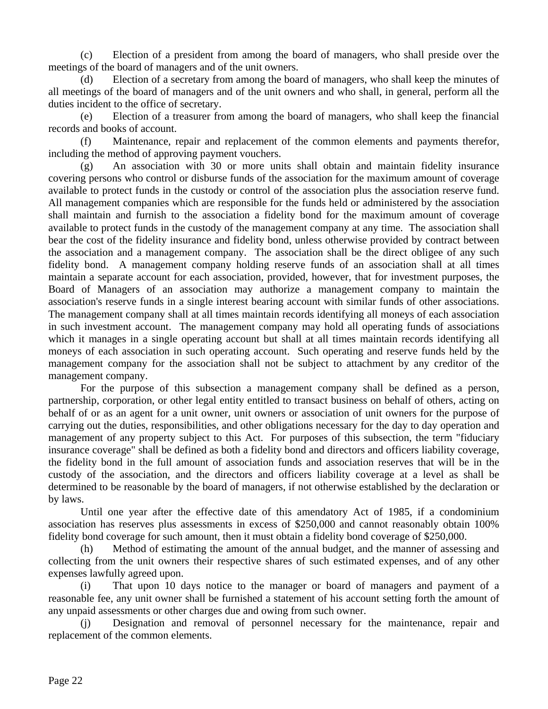(c) Election of a president from among the board of managers, who shall preside over the meetings of the board of managers and of the unit owners.

 (d) Election of a secretary from among the board of managers, who shall keep the minutes of all meetings of the board of managers and of the unit owners and who shall, in general, perform all the duties incident to the office of secretary.

 (e) Election of a treasurer from among the board of managers, who shall keep the financial records and books of account.

 (f) Maintenance, repair and replacement of the common elements and payments therefor, including the method of approving payment vouchers.

 (g) An association with 30 or more units shall obtain and maintain fidelity insurance covering persons who control or disburse funds of the association for the maximum amount of coverage available to protect funds in the custody or control of the association plus the association reserve fund. All management companies which are responsible for the funds held or administered by the association shall maintain and furnish to the association a fidelity bond for the maximum amount of coverage available to protect funds in the custody of the management company at any time. The association shall bear the cost of the fidelity insurance and fidelity bond, unless otherwise provided by contract between the association and a management company. The association shall be the direct obligee of any such fidelity bond. A management company holding reserve funds of an association shall at all times maintain a separate account for each association, provided, however, that for investment purposes, the Board of Managers of an association may authorize a management company to maintain the association's reserve funds in a single interest bearing account with similar funds of other associations. The management company shall at all times maintain records identifying all moneys of each association in such investment account. The management company may hold all operating funds of associations which it manages in a single operating account but shall at all times maintain records identifying all moneys of each association in such operating account. Such operating and reserve funds held by the management company for the association shall not be subject to attachment by any creditor of the management company.

 For the purpose of this subsection a management company shall be defined as a person, partnership, corporation, or other legal entity entitled to transact business on behalf of others, acting on behalf of or as an agent for a unit owner, unit owners or association of unit owners for the purpose of carrying out the duties, responsibilities, and other obligations necessary for the day to day operation and management of any property subject to this Act. For purposes of this subsection, the term "fiduciary insurance coverage" shall be defined as both a fidelity bond and directors and officers liability coverage, the fidelity bond in the full amount of association funds and association reserves that will be in the custody of the association, and the directors and officers liability coverage at a level as shall be determined to be reasonable by the board of managers, if not otherwise established by the declaration or by laws.

 Until one year after the effective date of this amendatory Act of 1985, if a condominium association has reserves plus assessments in excess of \$250,000 and cannot reasonably obtain 100% fidelity bond coverage for such amount, then it must obtain a fidelity bond coverage of \$250,000.

 (h) Method of estimating the amount of the annual budget, and the manner of assessing and collecting from the unit owners their respective shares of such estimated expenses, and of any other expenses lawfully agreed upon.

 (i) That upon 10 days notice to the manager or board of managers and payment of a reasonable fee, any unit owner shall be furnished a statement of his account setting forth the amount of any unpaid assessments or other charges due and owing from such owner.

 (j) Designation and removal of personnel necessary for the maintenance, repair and replacement of the common elements.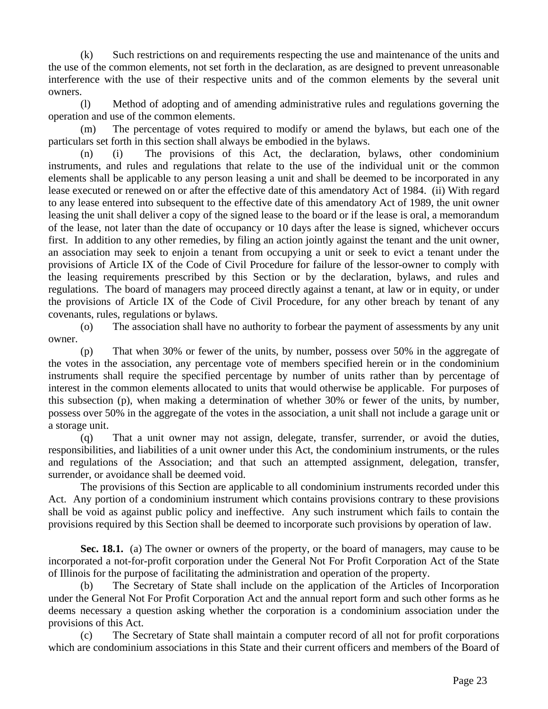(k) Such restrictions on and requirements respecting the use and maintenance of the units and the use of the common elements, not set forth in the declaration, as are designed to prevent unreasonable interference with the use of their respective units and of the common elements by the several unit owners.

 (l) Method of adopting and of amending administrative rules and regulations governing the operation and use of the common elements.

 (m) The percentage of votes required to modify or amend the bylaws, but each one of the particulars set forth in this section shall always be embodied in the bylaws.

 (n) (i) The provisions of this Act, the declaration, bylaws, other condominium instruments, and rules and regulations that relate to the use of the individual unit or the common elements shall be applicable to any person leasing a unit and shall be deemed to be incorporated in any lease executed or renewed on or after the effective date of this amendatory Act of 1984. (ii) With regard to any lease entered into subsequent to the effective date of this amendatory Act of 1989, the unit owner leasing the unit shall deliver a copy of the signed lease to the board or if the lease is oral, a memorandum of the lease, not later than the date of occupancy or 10 days after the lease is signed, whichever occurs first. In addition to any other remedies, by filing an action jointly against the tenant and the unit owner, an association may seek to enjoin a tenant from occupying a unit or seek to evict a tenant under the provisions of Article IX of the Code of Civil Procedure for failure of the lessor-owner to comply with the leasing requirements prescribed by this Section or by the declaration, bylaws, and rules and regulations. The board of managers may proceed directly against a tenant, at law or in equity, or under the provisions of Article IX of the Code of Civil Procedure, for any other breach by tenant of any covenants, rules, regulations or bylaws.

 (o) The association shall have no authority to forbear the payment of assessments by any unit owner.

 (p) That when 30% or fewer of the units, by number, possess over 50% in the aggregate of the votes in the association, any percentage vote of members specified herein or in the condominium instruments shall require the specified percentage by number of units rather than by percentage of interest in the common elements allocated to units that would otherwise be applicable. For purposes of this subsection (p), when making a determination of whether 30% or fewer of the units, by number, possess over 50% in the aggregate of the votes in the association, a unit shall not include a garage unit or a storage unit.

 (q) That a unit owner may not assign, delegate, transfer, surrender, or avoid the duties, responsibilities, and liabilities of a unit owner under this Act, the condominium instruments, or the rules and regulations of the Association; and that such an attempted assignment, delegation, transfer, surrender, or avoidance shall be deemed void.

 The provisions of this Section are applicable to all condominium instruments recorded under this Act. Any portion of a condominium instrument which contains provisions contrary to these provisions shall be void as against public policy and ineffective. Any such instrument which fails to contain the provisions required by this Section shall be deemed to incorporate such provisions by operation of law.

Sec. 18.1. (a) The owner or owners of the property, or the board of managers, may cause to be incorporated a not-for-profit corporation under the General Not For Profit Corporation Act of the State of Illinois for the purpose of facilitating the administration and operation of the property.

 (b) The Secretary of State shall include on the application of the Articles of Incorporation under the General Not For Profit Corporation Act and the annual report form and such other forms as he deems necessary a question asking whether the corporation is a condominium association under the provisions of this Act.

 (c) The Secretary of State shall maintain a computer record of all not for profit corporations which are condominium associations in this State and their current officers and members of the Board of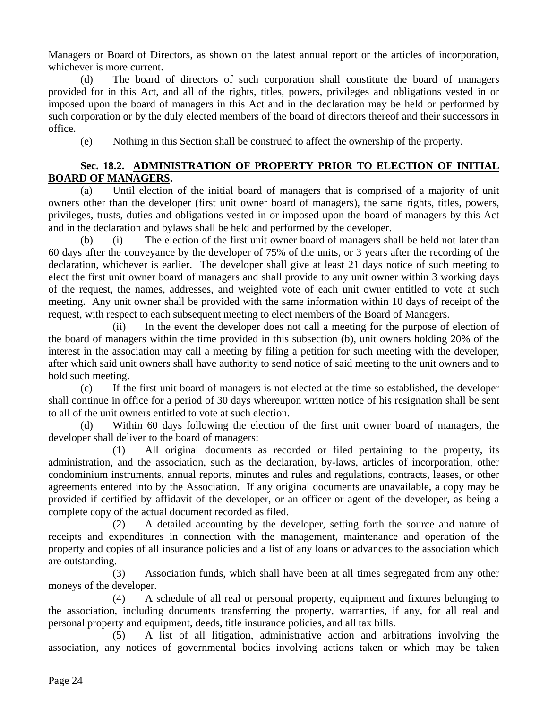Managers or Board of Directors, as shown on the latest annual report or the articles of incorporation, whichever is more current.

 (d) The board of directors of such corporation shall constitute the board of managers provided for in this Act, and all of the rights, titles, powers, privileges and obligations vested in or imposed upon the board of managers in this Act and in the declaration may be held or performed by such corporation or by the duly elected members of the board of directors thereof and their successors in office.

(e) Nothing in this Section shall be construed to affect the ownership of the property.

# **Sec. 18.2. ADMINISTRATION OF PROPERTY PRIOR TO ELECTION OF INITIAL BOARD OF MANAGERS.**

 (a) Until election of the initial board of managers that is comprised of a majority of unit owners other than the developer (first unit owner board of managers), the same rights, titles, powers, privileges, trusts, duties and obligations vested in or imposed upon the board of managers by this Act and in the declaration and bylaws shall be held and performed by the developer.

 (b) (i) The election of the first unit owner board of managers shall be held not later than 60 days after the conveyance by the developer of 75% of the units, or 3 years after the recording of the declaration, whichever is earlier. The developer shall give at least 21 days notice of such meeting to elect the first unit owner board of managers and shall provide to any unit owner within 3 working days of the request, the names, addresses, and weighted vote of each unit owner entitled to vote at such meeting. Any unit owner shall be provided with the same information within 10 days of receipt of the request, with respect to each subsequent meeting to elect members of the Board of Managers.

 (ii) In the event the developer does not call a meeting for the purpose of election of the board of managers within the time provided in this subsection (b), unit owners holding 20% of the interest in the association may call a meeting by filing a petition for such meeting with the developer, after which said unit owners shall have authority to send notice of said meeting to the unit owners and to hold such meeting.

 (c) If the first unit board of managers is not elected at the time so established, the developer shall continue in office for a period of 30 days whereupon written notice of his resignation shall be sent to all of the unit owners entitled to vote at such election.

 (d) Within 60 days following the election of the first unit owner board of managers, the developer shall deliver to the board of managers:

 (1) All original documents as recorded or filed pertaining to the property, its administration, and the association, such as the declaration, by-laws, articles of incorporation, other condominium instruments, annual reports, minutes and rules and regulations, contracts, leases, or other agreements entered into by the Association. If any original documents are unavailable, a copy may be provided if certified by affidavit of the developer, or an officer or agent of the developer, as being a complete copy of the actual document recorded as filed.

 (2) A detailed accounting by the developer, setting forth the source and nature of receipts and expenditures in connection with the management, maintenance and operation of the property and copies of all insurance policies and a list of any loans or advances to the association which are outstanding.

 (3) Association funds, which shall have been at all times segregated from any other moneys of the developer.

 (4) A schedule of all real or personal property, equipment and fixtures belonging to the association, including documents transferring the property, warranties, if any, for all real and personal property and equipment, deeds, title insurance policies, and all tax bills.

 (5) A list of all litigation, administrative action and arbitrations involving the association, any notices of governmental bodies involving actions taken or which may be taken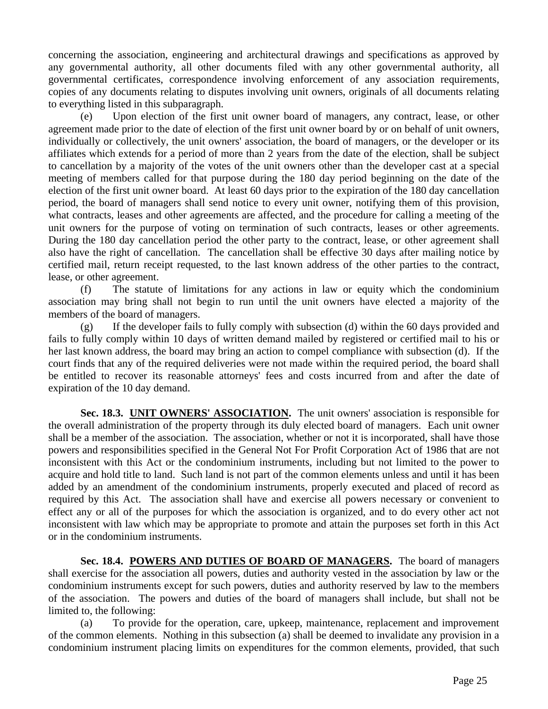concerning the association, engineering and architectural drawings and specifications as approved by any governmental authority, all other documents filed with any other governmental authority, all governmental certificates, correspondence involving enforcement of any association requirements, copies of any documents relating to disputes involving unit owners, originals of all documents relating to everything listed in this subparagraph.

 (e) Upon election of the first unit owner board of managers, any contract, lease, or other agreement made prior to the date of election of the first unit owner board by or on behalf of unit owners, individually or collectively, the unit owners' association, the board of managers, or the developer or its affiliates which extends for a period of more than 2 years from the date of the election, shall be subject to cancellation by a majority of the votes of the unit owners other than the developer cast at a special meeting of members called for that purpose during the 180 day period beginning on the date of the election of the first unit owner board. At least 60 days prior to the expiration of the 180 day cancellation period, the board of managers shall send notice to every unit owner, notifying them of this provision, what contracts, leases and other agreements are affected, and the procedure for calling a meeting of the unit owners for the purpose of voting on termination of such contracts, leases or other agreements. During the 180 day cancellation period the other party to the contract, lease, or other agreement shall also have the right of cancellation. The cancellation shall be effective 30 days after mailing notice by certified mail, return receipt requested, to the last known address of the other parties to the contract, lease, or other agreement.

 (f) The statute of limitations for any actions in law or equity which the condominium association may bring shall not begin to run until the unit owners have elected a majority of the members of the board of managers.

 (g) If the developer fails to fully comply with subsection (d) within the 60 days provided and fails to fully comply within 10 days of written demand mailed by registered or certified mail to his or her last known address, the board may bring an action to compel compliance with subsection (d). If the court finds that any of the required deliveries were not made within the required period, the board shall be entitled to recover its reasonable attorneys' fees and costs incurred from and after the date of expiration of the 10 day demand.

**Sec. 18.3. UNIT OWNERS' ASSOCIATION.** The unit owners' association is responsible for the overall administration of the property through its duly elected board of managers. Each unit owner shall be a member of the association. The association, whether or not it is incorporated, shall have those powers and responsibilities specified in the General Not For Profit Corporation Act of 1986 that are not inconsistent with this Act or the condominium instruments, including but not limited to the power to acquire and hold title to land. Such land is not part of the common elements unless and until it has been added by an amendment of the condominium instruments, properly executed and placed of record as required by this Act. The association shall have and exercise all powers necessary or convenient to effect any or all of the purposes for which the association is organized, and to do every other act not inconsistent with law which may be appropriate to promote and attain the purposes set forth in this Act or in the condominium instruments.

**Sec. 18.4. POWERS AND DUTIES OF BOARD OF MANAGERS.** The board of managers shall exercise for the association all powers, duties and authority vested in the association by law or the condominium instruments except for such powers, duties and authority reserved by law to the members of the association. The powers and duties of the board of managers shall include, but shall not be limited to, the following:

 (a) To provide for the operation, care, upkeep, maintenance, replacement and improvement of the common elements. Nothing in this subsection (a) shall be deemed to invalidate any provision in a condominium instrument placing limits on expenditures for the common elements, provided, that such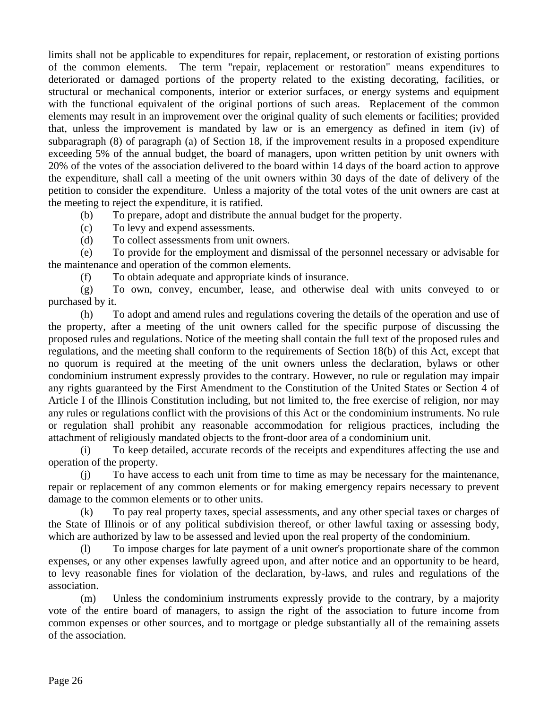limits shall not be applicable to expenditures for repair, replacement, or restoration of existing portions of the common elements. The term "repair, replacement or restoration" means expenditures to deteriorated or damaged portions of the property related to the existing decorating, facilities, or structural or mechanical components, interior or exterior surfaces, or energy systems and equipment with the functional equivalent of the original portions of such areas. Replacement of the common elements may result in an improvement over the original quality of such elements or facilities; provided that, unless the improvement is mandated by law or is an emergency as defined in item (iv) of subparagraph (8) of paragraph (a) of Section 18, if the improvement results in a proposed expenditure exceeding 5% of the annual budget, the board of managers, upon written petition by unit owners with 20% of the votes of the association delivered to the board within 14 days of the board action to approve the expenditure, shall call a meeting of the unit owners within 30 days of the date of delivery of the petition to consider the expenditure. Unless a majority of the total votes of the unit owners are cast at the meeting to reject the expenditure, it is ratified.

(b) To prepare, adopt and distribute the annual budget for the property.

(c) To levy and expend assessments.

(d) To collect assessments from unit owners.

 (e) To provide for the employment and dismissal of the personnel necessary or advisable for the maintenance and operation of the common elements.

(f) To obtain adequate and appropriate kinds of insurance.

 (g) To own, convey, encumber, lease, and otherwise deal with units conveyed to or purchased by it.

 (h) To adopt and amend rules and regulations covering the details of the operation and use of the property, after a meeting of the unit owners called for the specific purpose of discussing the proposed rules and regulations. Notice of the meeting shall contain the full text of the proposed rules and regulations, and the meeting shall conform to the requirements of Section 18(b) of this Act, except that no quorum is required at the meeting of the unit owners unless the declaration, bylaws or other condominium instrument expressly provides to the contrary. However, no rule or regulation may impair any rights guaranteed by the First Amendment to the Constitution of the United States or Section 4 of Article I of the Illinois Constitution including, but not limited to, the free exercise of religion, nor may any rules or regulations conflict with the provisions of this Act or the condominium instruments. No rule or regulation shall prohibit any reasonable accommodation for religious practices, including the attachment of religiously mandated objects to the front-door area of a condominium unit.

 (i) To keep detailed, accurate records of the receipts and expenditures affecting the use and operation of the property.

 (j) To have access to each unit from time to time as may be necessary for the maintenance, repair or replacement of any common elements or for making emergency repairs necessary to prevent damage to the common elements or to other units.

 (k) To pay real property taxes, special assessments, and any other special taxes or charges of the State of Illinois or of any political subdivision thereof, or other lawful taxing or assessing body, which are authorized by law to be assessed and levied upon the real property of the condominium.

 (l) To impose charges for late payment of a unit owner's proportionate share of the common expenses, or any other expenses lawfully agreed upon, and after notice and an opportunity to be heard, to levy reasonable fines for violation of the declaration, by-laws, and rules and regulations of the association.

 (m) Unless the condominium instruments expressly provide to the contrary, by a majority vote of the entire board of managers, to assign the right of the association to future income from common expenses or other sources, and to mortgage or pledge substantially all of the remaining assets of the association.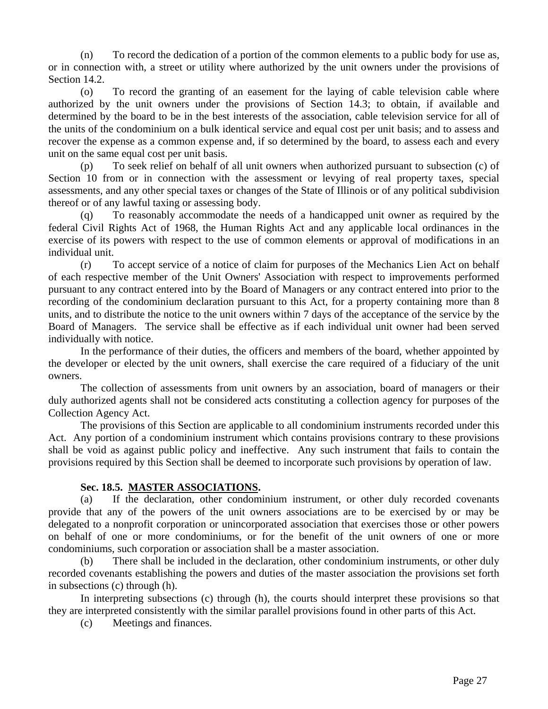(n) To record the dedication of a portion of the common elements to a public body for use as, or in connection with, a street or utility where authorized by the unit owners under the provisions of Section 14.2.

 (o) To record the granting of an easement for the laying of cable television cable where authorized by the unit owners under the provisions of Section 14.3; to obtain, if available and determined by the board to be in the best interests of the association, cable television service for all of the units of the condominium on a bulk identical service and equal cost per unit basis; and to assess and recover the expense as a common expense and, if so determined by the board, to assess each and every unit on the same equal cost per unit basis.

 (p) To seek relief on behalf of all unit owners when authorized pursuant to subsection (c) of Section 10 from or in connection with the assessment or levying of real property taxes, special assessments, and any other special taxes or changes of the State of Illinois or of any political subdivision thereof or of any lawful taxing or assessing body.

 (q) To reasonably accommodate the needs of a handicapped unit owner as required by the federal Civil Rights Act of 1968, the Human Rights Act and any applicable local ordinances in the exercise of its powers with respect to the use of common elements or approval of modifications in an individual unit.

 (r) To accept service of a notice of claim for purposes of the Mechanics Lien Act on behalf of each respective member of the Unit Owners' Association with respect to improvements performed pursuant to any contract entered into by the Board of Managers or any contract entered into prior to the recording of the condominium declaration pursuant to this Act, for a property containing more than 8 units, and to distribute the notice to the unit owners within 7 days of the acceptance of the service by the Board of Managers. The service shall be effective as if each individual unit owner had been served individually with notice.

 In the performance of their duties, the officers and members of the board, whether appointed by the developer or elected by the unit owners, shall exercise the care required of a fiduciary of the unit owners.

 The collection of assessments from unit owners by an association, board of managers or their duly authorized agents shall not be considered acts constituting a collection agency for purposes of the Collection Agency Act.

 The provisions of this Section are applicable to all condominium instruments recorded under this Act. Any portion of a condominium instrument which contains provisions contrary to these provisions shall be void as against public policy and ineffective. Any such instrument that fails to contain the provisions required by this Section shall be deemed to incorporate such provisions by operation of law.

#### **Sec. 18.5. MASTER ASSOCIATIONS.**

 (a) If the declaration, other condominium instrument, or other duly recorded covenants provide that any of the powers of the unit owners associations are to be exercised by or may be delegated to a nonprofit corporation or unincorporated association that exercises those or other powers on behalf of one or more condominiums, or for the benefit of the unit owners of one or more condominiums, such corporation or association shall be a master association.

 (b) There shall be included in the declaration, other condominium instruments, or other duly recorded covenants establishing the powers and duties of the master association the provisions set forth in subsections (c) through (h).

 In interpreting subsections (c) through (h), the courts should interpret these provisions so that they are interpreted consistently with the similar parallel provisions found in other parts of this Act.

(c) Meetings and finances.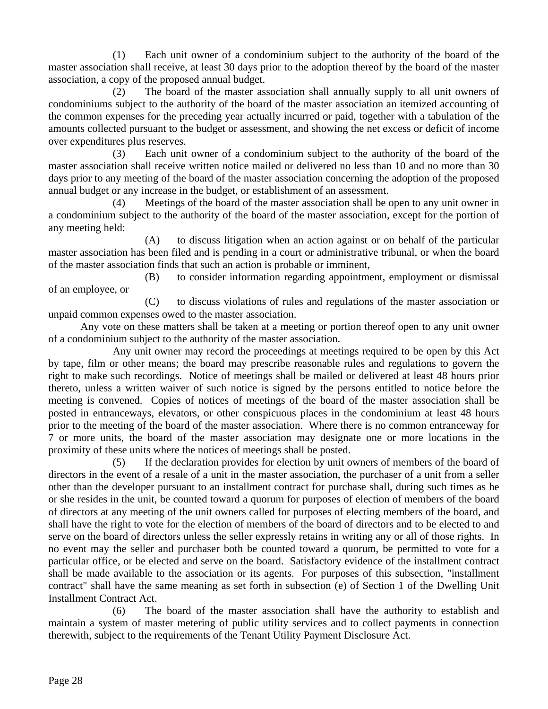(1) Each unit owner of a condominium subject to the authority of the board of the master association shall receive, at least 30 days prior to the adoption thereof by the board of the master association, a copy of the proposed annual budget.

 (2) The board of the master association shall annually supply to all unit owners of condominiums subject to the authority of the board of the master association an itemized accounting of the common expenses for the preceding year actually incurred or paid, together with a tabulation of the amounts collected pursuant to the budget or assessment, and showing the net excess or deficit of income over expenditures plus reserves.

 (3) Each unit owner of a condominium subject to the authority of the board of the master association shall receive written notice mailed or delivered no less than 10 and no more than 30 days prior to any meeting of the board of the master association concerning the adoption of the proposed annual budget or any increase in the budget, or establishment of an assessment.

Meetings of the board of the master association shall be open to any unit owner in a condominium subject to the authority of the board of the master association, except for the portion of any meeting held:

 (A) to discuss litigation when an action against or on behalf of the particular master association has been filed and is pending in a court or administrative tribunal, or when the board of the master association finds that such an action is probable or imminent,

 (B) to consider information regarding appointment, employment or dismissal of an employee, or

 (C) to discuss violations of rules and regulations of the master association or unpaid common expenses owed to the master association.

 Any vote on these matters shall be taken at a meeting or portion thereof open to any unit owner of a condominium subject to the authority of the master association.

 Any unit owner may record the proceedings at meetings required to be open by this Act by tape, film or other means; the board may prescribe reasonable rules and regulations to govern the right to make such recordings. Notice of meetings shall be mailed or delivered at least 48 hours prior thereto, unless a written waiver of such notice is signed by the persons entitled to notice before the meeting is convened. Copies of notices of meetings of the board of the master association shall be posted in entranceways, elevators, or other conspicuous places in the condominium at least 48 hours prior to the meeting of the board of the master association. Where there is no common entranceway for 7 or more units, the board of the master association may designate one or more locations in the proximity of these units where the notices of meetings shall be posted.

 (5) If the declaration provides for election by unit owners of members of the board of directors in the event of a resale of a unit in the master association, the purchaser of a unit from a seller other than the developer pursuant to an installment contract for purchase shall, during such times as he or she resides in the unit, be counted toward a quorum for purposes of election of members of the board of directors at any meeting of the unit owners called for purposes of electing members of the board, and shall have the right to vote for the election of members of the board of directors and to be elected to and serve on the board of directors unless the seller expressly retains in writing any or all of those rights. In no event may the seller and purchaser both be counted toward a quorum, be permitted to vote for a particular office, or be elected and serve on the board. Satisfactory evidence of the installment contract shall be made available to the association or its agents. For purposes of this subsection, "installment contract" shall have the same meaning as set forth in subsection (e) of Section 1 of the Dwelling Unit Installment Contract Act.

 (6) The board of the master association shall have the authority to establish and maintain a system of master metering of public utility services and to collect payments in connection therewith, subject to the requirements of the Tenant Utility Payment Disclosure Act.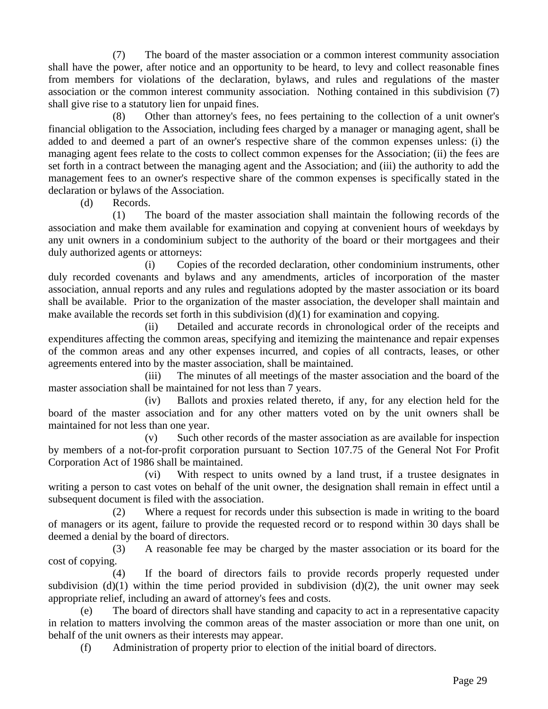(7) The board of the master association or a common interest community association shall have the power, after notice and an opportunity to be heard, to levy and collect reasonable fines from members for violations of the declaration, bylaws, and rules and regulations of the master association or the common interest community association. Nothing contained in this subdivision (7) shall give rise to a statutory lien for unpaid fines.

 (8) Other than attorney's fees, no fees pertaining to the collection of a unit owner's financial obligation to the Association, including fees charged by a manager or managing agent, shall be added to and deemed a part of an owner's respective share of the common expenses unless: (i) the managing agent fees relate to the costs to collect common expenses for the Association; (ii) the fees are set forth in a contract between the managing agent and the Association; and (iii) the authority to add the management fees to an owner's respective share of the common expenses is specifically stated in the declaration or bylaws of the Association.

(d) Records.

 (1) The board of the master association shall maintain the following records of the association and make them available for examination and copying at convenient hours of weekdays by any unit owners in a condominium subject to the authority of the board or their mortgagees and their duly authorized agents or attorneys:

 (i) Copies of the recorded declaration, other condominium instruments, other duly recorded covenants and bylaws and any amendments, articles of incorporation of the master association, annual reports and any rules and regulations adopted by the master association or its board shall be available. Prior to the organization of the master association, the developer shall maintain and make available the records set forth in this subdivision (d)(1) for examination and copying.

 (ii) Detailed and accurate records in chronological order of the receipts and expenditures affecting the common areas, specifying and itemizing the maintenance and repair expenses of the common areas and any other expenses incurred, and copies of all contracts, leases, or other agreements entered into by the master association, shall be maintained.

 (iii) The minutes of all meetings of the master association and the board of the master association shall be maintained for not less than 7 years.

 (iv) Ballots and proxies related thereto, if any, for any election held for the board of the master association and for any other matters voted on by the unit owners shall be maintained for not less than one year.

 (v) Such other records of the master association as are available for inspection by members of a not-for-profit corporation pursuant to Section 107.75 of the General Not For Profit Corporation Act of 1986 shall be maintained.

 (vi) With respect to units owned by a land trust, if a trustee designates in writing a person to cast votes on behalf of the unit owner, the designation shall remain in effect until a subsequent document is filed with the association.

 (2) Where a request for records under this subsection is made in writing to the board of managers or its agent, failure to provide the requested record or to respond within 30 days shall be deemed a denial by the board of directors.

 (3) A reasonable fee may be charged by the master association or its board for the cost of copying.

 (4) If the board of directors fails to provide records properly requested under subdivision (d)(1) within the time period provided in subdivision (d)(2), the unit owner may seek appropriate relief, including an award of attorney's fees and costs.

 (e) The board of directors shall have standing and capacity to act in a representative capacity in relation to matters involving the common areas of the master association or more than one unit, on behalf of the unit owners as their interests may appear.

(f) Administration of property prior to election of the initial board of directors.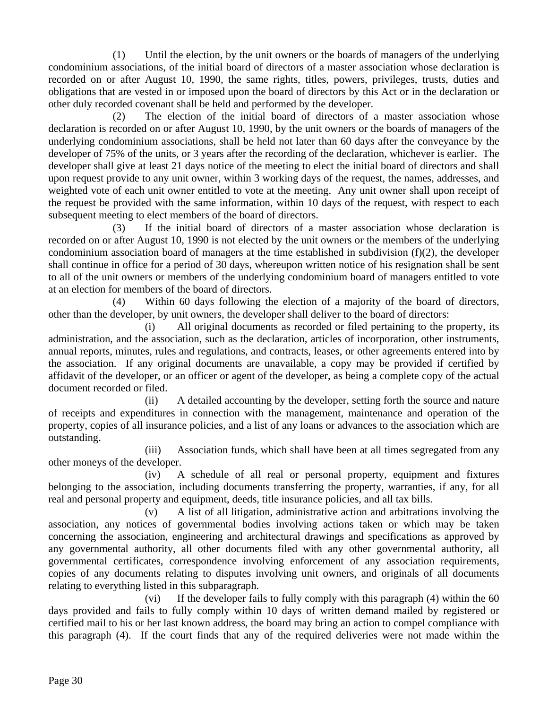(1) Until the election, by the unit owners or the boards of managers of the underlying condominium associations, of the initial board of directors of a master association whose declaration is recorded on or after August 10, 1990, the same rights, titles, powers, privileges, trusts, duties and obligations that are vested in or imposed upon the board of directors by this Act or in the declaration or other duly recorded covenant shall be held and performed by the developer.

 (2) The election of the initial board of directors of a master association whose declaration is recorded on or after August 10, 1990, by the unit owners or the boards of managers of the underlying condominium associations, shall be held not later than 60 days after the conveyance by the developer of 75% of the units, or 3 years after the recording of the declaration, whichever is earlier. The developer shall give at least 21 days notice of the meeting to elect the initial board of directors and shall upon request provide to any unit owner, within 3 working days of the request, the names, addresses, and weighted vote of each unit owner entitled to vote at the meeting. Any unit owner shall upon receipt of the request be provided with the same information, within 10 days of the request, with respect to each subsequent meeting to elect members of the board of directors.

 (3) If the initial board of directors of a master association whose declaration is recorded on or after August 10, 1990 is not elected by the unit owners or the members of the underlying condominium association board of managers at the time established in subdivision (f)(2), the developer shall continue in office for a period of 30 days, whereupon written notice of his resignation shall be sent to all of the unit owners or members of the underlying condominium board of managers entitled to vote at an election for members of the board of directors.

 (4) Within 60 days following the election of a majority of the board of directors, other than the developer, by unit owners, the developer shall deliver to the board of directors:

 (i) All original documents as recorded or filed pertaining to the property, its administration, and the association, such as the declaration, articles of incorporation, other instruments, annual reports, minutes, rules and regulations, and contracts, leases, or other agreements entered into by the association. If any original documents are unavailable, a copy may be provided if certified by affidavit of the developer, or an officer or agent of the developer, as being a complete copy of the actual document recorded or filed.

 (ii) A detailed accounting by the developer, setting forth the source and nature of receipts and expenditures in connection with the management, maintenance and operation of the property, copies of all insurance policies, and a list of any loans or advances to the association which are outstanding.

 (iii) Association funds, which shall have been at all times segregated from any other moneys of the developer.

 (iv) A schedule of all real or personal property, equipment and fixtures belonging to the association, including documents transferring the property, warranties, if any, for all real and personal property and equipment, deeds, title insurance policies, and all tax bills.

 (v) A list of all litigation, administrative action and arbitrations involving the association, any notices of governmental bodies involving actions taken or which may be taken concerning the association, engineering and architectural drawings and specifications as approved by any governmental authority, all other documents filed with any other governmental authority, all governmental certificates, correspondence involving enforcement of any association requirements, copies of any documents relating to disputes involving unit owners, and originals of all documents relating to everything listed in this subparagraph.

 (vi) If the developer fails to fully comply with this paragraph (4) within the 60 days provided and fails to fully comply within 10 days of written demand mailed by registered or certified mail to his or her last known address, the board may bring an action to compel compliance with this paragraph (4). If the court finds that any of the required deliveries were not made within the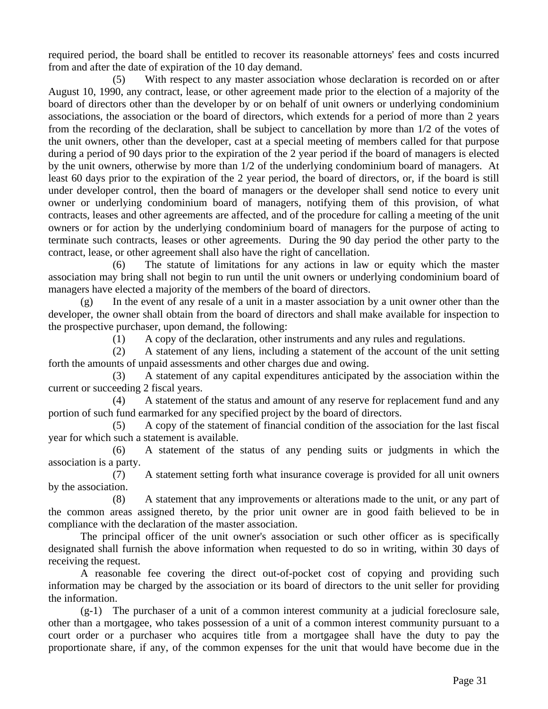required period, the board shall be entitled to recover its reasonable attorneys' fees and costs incurred from and after the date of expiration of the 10 day demand.

 (5) With respect to any master association whose declaration is recorded on or after August 10, 1990, any contract, lease, or other agreement made prior to the election of a majority of the board of directors other than the developer by or on behalf of unit owners or underlying condominium associations, the association or the board of directors, which extends for a period of more than 2 years from the recording of the declaration, shall be subject to cancellation by more than 1/2 of the votes of the unit owners, other than the developer, cast at a special meeting of members called for that purpose during a period of 90 days prior to the expiration of the 2 year period if the board of managers is elected by the unit owners, otherwise by more than 1/2 of the underlying condominium board of managers. At least 60 days prior to the expiration of the 2 year period, the board of directors, or, if the board is still under developer control, then the board of managers or the developer shall send notice to every unit owner or underlying condominium board of managers, notifying them of this provision, of what contracts, leases and other agreements are affected, and of the procedure for calling a meeting of the unit owners or for action by the underlying condominium board of managers for the purpose of acting to terminate such contracts, leases or other agreements. During the 90 day period the other party to the contract, lease, or other agreement shall also have the right of cancellation.

 (6) The statute of limitations for any actions in law or equity which the master association may bring shall not begin to run until the unit owners or underlying condominium board of managers have elected a majority of the members of the board of directors.

 (g) In the event of any resale of a unit in a master association by a unit owner other than the developer, the owner shall obtain from the board of directors and shall make available for inspection to the prospective purchaser, upon demand, the following:

(1) A copy of the declaration, other instruments and any rules and regulations.

 (2) A statement of any liens, including a statement of the account of the unit setting forth the amounts of unpaid assessments and other charges due and owing.

 (3) A statement of any capital expenditures anticipated by the association within the current or succeeding 2 fiscal years.

 (4) A statement of the status and amount of any reserve for replacement fund and any portion of such fund earmarked for any specified project by the board of directors.

 (5) A copy of the statement of financial condition of the association for the last fiscal year for which such a statement is available.

 (6) A statement of the status of any pending suits or judgments in which the association is a party.

 (7) A statement setting forth what insurance coverage is provided for all unit owners by the association.

 (8) A statement that any improvements or alterations made to the unit, or any part of the common areas assigned thereto, by the prior unit owner are in good faith believed to be in compliance with the declaration of the master association.

 The principal officer of the unit owner's association or such other officer as is specifically designated shall furnish the above information when requested to do so in writing, within 30 days of receiving the request.

 A reasonable fee covering the direct out-of-pocket cost of copying and providing such information may be charged by the association or its board of directors to the unit seller for providing the information.

 (g-1) The purchaser of a unit of a common interest community at a judicial foreclosure sale, other than a mortgagee, who takes possession of a unit of a common interest community pursuant to a court order or a purchaser who acquires title from a mortgagee shall have the duty to pay the proportionate share, if any, of the common expenses for the unit that would have become due in the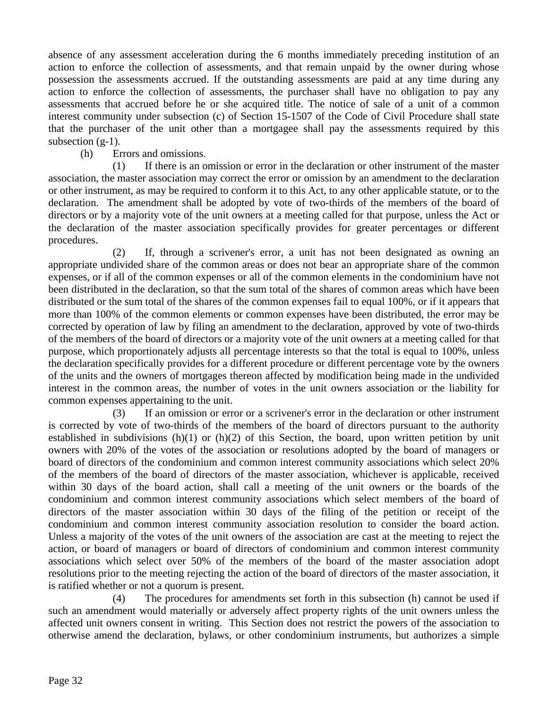absence of any assessment acceleration during the 6 months immediately preceding institution of an action to enforce the collection of assessments, and that remain unpaid by the owner during whose possession the assessments accrued. If the outstanding assessments are paid at any time during any action to enforce the collection of assessments, the purchaser shall have no obligation to pay any assessments that accrued before he or she acquired title. The notice of sale of a unit of a common interest community under subsection (c) of Section 15-1507 of the Code of Civil Procedure shall state that the purchaser of the unit other than a mortgagee shall pay the assessments required by this subsection  $(g-1)$ .

(h) Errors and omissions.

 (1) If there is an omission or error in the declaration or other instrument of the master association, the master association may correct the error or omission by an amendment to the declaration or other instrument, as may be required to conform it to this Act, to any other applicable statute, or to the declaration. The amendment shall be adopted by vote of two-thirds of the members of the board of directors or by a majority vote of the unit owners at a meeting called for that purpose, unless the Act or the declaration of the master association specifically provides for greater percentages or different procedures.

 (2) If, through a scrivener's error, a unit has not been designated as owning an appropriate undivided share of the common areas or does not bear an appropriate share of the common expenses, or if all of the common expenses or all of the common elements in the condominium have not been distributed in the declaration, so that the sum total of the shares of common areas which have been distributed or the sum total of the shares of the common expenses fail to equal 100%, or if it appears that more than 100% of the common elements or common expenses have been distributed, the error may be corrected by operation of law by filing an amendment to the declaration, approved by vote of two-thirds of the members of the board of directors or a majority vote of the unit owners at a meeting called for that purpose, which proportionately adjusts all percentage interests so that the total is equal to 100%, unless the declaration specifically provides for a different procedure or different percentage vote by the owners of the units and the owners of mortgages thereon affected by modification being made in the undivided interest in the common areas, the number of votes in the unit owners association or the liability for common expenses appertaining to the unit.

 (3) If an omission or error or a scrivener's error in the declaration or other instrument is corrected by vote of two-thirds of the members of the board of directors pursuant to the authority established in subdivisions (h)(1) or (h)(2) of this Section, the board, upon written petition by unit owners with 20% of the votes of the association or resolutions adopted by the board of managers or board of directors of the condominium and common interest community associations which select 20% of the members of the board of directors of the master association, whichever is applicable, received within 30 days of the board action, shall call a meeting of the unit owners or the boards of the condominium and common interest community associations which select members of the board of directors of the master association within 30 days of the filing of the petition or receipt of the condominium and common interest community association resolution to consider the board action. Unless a majority of the votes of the unit owners of the association are cast at the meeting to reject the action, or board of managers or board of directors of condominium and common interest community associations which select over 50% of the members of the board of the master association adopt resolutions prior to the meeting rejecting the action of the board of directors of the master association, it is ratified whether or not a quorum is present.

 (4) The procedures for amendments set forth in this subsection (h) cannot be used if such an amendment would materially or adversely affect property rights of the unit owners unless the affected unit owners consent in writing. This Section does not restrict the powers of the association to otherwise amend the declaration, bylaws, or other condominium instruments, but authorizes a simple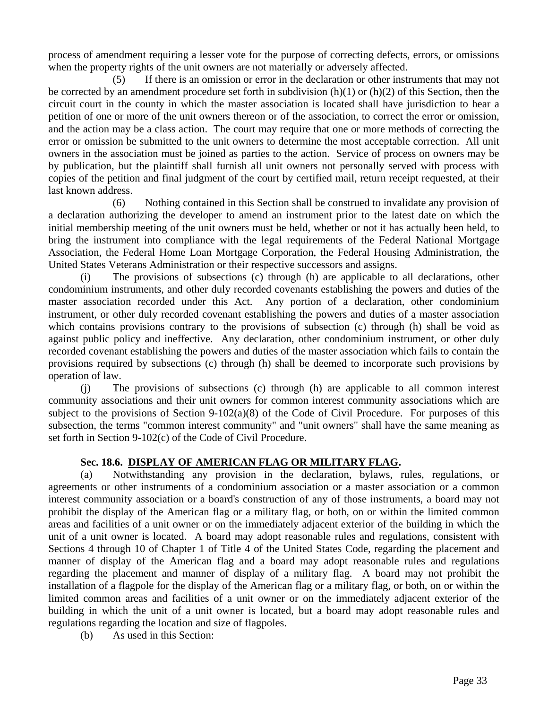process of amendment requiring a lesser vote for the purpose of correcting defects, errors, or omissions when the property rights of the unit owners are not materially or adversely affected.

 (5) If there is an omission or error in the declaration or other instruments that may not be corrected by an amendment procedure set forth in subdivision  $(h)(1)$  or  $(h)(2)$  of this Section, then the circuit court in the county in which the master association is located shall have jurisdiction to hear a petition of one or more of the unit owners thereon or of the association, to correct the error or omission, and the action may be a class action. The court may require that one or more methods of correcting the error or omission be submitted to the unit owners to determine the most acceptable correction. All unit owners in the association must be joined as parties to the action. Service of process on owners may be by publication, but the plaintiff shall furnish all unit owners not personally served with process with copies of the petition and final judgment of the court by certified mail, return receipt requested, at their last known address.

 (6) Nothing contained in this Section shall be construed to invalidate any provision of a declaration authorizing the developer to amend an instrument prior to the latest date on which the initial membership meeting of the unit owners must be held, whether or not it has actually been held, to bring the instrument into compliance with the legal requirements of the Federal National Mortgage Association, the Federal Home Loan Mortgage Corporation, the Federal Housing Administration, the United States Veterans Administration or their respective successors and assigns.

 (i) The provisions of subsections (c) through (h) are applicable to all declarations, other condominium instruments, and other duly recorded covenants establishing the powers and duties of the master association recorded under this Act. Any portion of a declaration, other condominium instrument, or other duly recorded covenant establishing the powers and duties of a master association which contains provisions contrary to the provisions of subsection (c) through (h) shall be void as against public policy and ineffective. Any declaration, other condominium instrument, or other duly recorded covenant establishing the powers and duties of the master association which fails to contain the provisions required by subsections (c) through (h) shall be deemed to incorporate such provisions by operation of law.

 (j) The provisions of subsections (c) through (h) are applicable to all common interest community associations and their unit owners for common interest community associations which are subject to the provisions of Section 9-102(a)(8) of the Code of Civil Procedure. For purposes of this subsection, the terms "common interest community" and "unit owners" shall have the same meaning as set forth in Section 9-102(c) of the Code of Civil Procedure.

## **Sec. 18.6. DISPLAY OF AMERICAN FLAG OR MILITARY FLAG.**

 (a) Notwithstanding any provision in the declaration, bylaws, rules, regulations, or agreements or other instruments of a condominium association or a master association or a common interest community association or a board's construction of any of those instruments, a board may not prohibit the display of the American flag or a military flag, or both, on or within the limited common areas and facilities of a unit owner or on the immediately adjacent exterior of the building in which the unit of a unit owner is located. A board may adopt reasonable rules and regulations, consistent with Sections 4 through 10 of Chapter 1 of Title 4 of the United States Code, regarding the placement and manner of display of the American flag and a board may adopt reasonable rules and regulations regarding the placement and manner of display of a military flag. A board may not prohibit the installation of a flagpole for the display of the American flag or a military flag, or both, on or within the limited common areas and facilities of a unit owner or on the immediately adjacent exterior of the building in which the unit of a unit owner is located, but a board may adopt reasonable rules and regulations regarding the location and size of flagpoles.

(b) As used in this Section: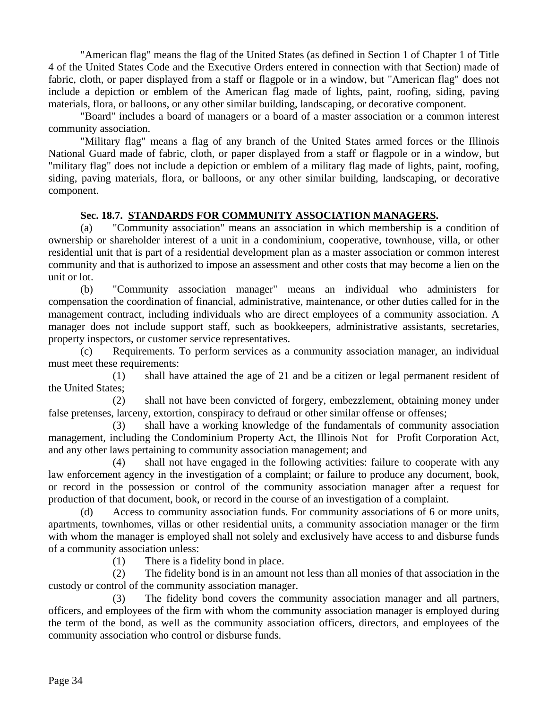"American flag" means the flag of the United States (as defined in Section 1 of Chapter 1 of Title 4 of the United States Code and the Executive Orders entered in connection with that Section) made of fabric, cloth, or paper displayed from a staff or flagpole or in a window, but "American flag" does not include a depiction or emblem of the American flag made of lights, paint, roofing, siding, paving materials, flora, or balloons, or any other similar building, landscaping, or decorative component.

 "Board" includes a board of managers or a board of a master association or a common interest community association.

 "Military flag" means a flag of any branch of the United States armed forces or the Illinois National Guard made of fabric, cloth, or paper displayed from a staff or flagpole or in a window, but "military flag" does not include a depiction or emblem of a military flag made of lights, paint, roofing, siding, paving materials, flora, or balloons, or any other similar building, landscaping, or decorative component.

#### **Sec. 18.7. STANDARDS FOR COMMUNITY ASSOCIATION MANAGERS.**

 (a) "Community association" means an association in which membership is a condition of ownership or shareholder interest of a unit in a condominium, cooperative, townhouse, villa, or other residential unit that is part of a residential development plan as a master association or common interest community and that is authorized to impose an assessment and other costs that may become a lien on the unit or lot.

 (b) "Community association manager" means an individual who administers for compensation the coordination of financial, administrative, maintenance, or other duties called for in the management contract, including individuals who are direct employees of a community association. A manager does not include support staff, such as bookkeepers, administrative assistants, secretaries, property inspectors, or customer service representatives.

 (c) Requirements. To perform services as a community association manager, an individual must meet these requirements:

 (1) shall have attained the age of 21 and be a citizen or legal permanent resident of the United States;

 (2) shall not have been convicted of forgery, embezzlement, obtaining money under false pretenses, larceny, extortion, conspiracy to defraud or other similar offense or offenses;

 (3) shall have a working knowledge of the fundamentals of community association management, including the Condominium Property Act, the Illinois Not for Profit Corporation Act, and any other laws pertaining to community association management; and

 (4) shall not have engaged in the following activities: failure to cooperate with any law enforcement agency in the investigation of a complaint; or failure to produce any document, book, or record in the possession or control of the community association manager after a request for production of that document, book, or record in the course of an investigation of a complaint.

 (d) Access to community association funds. For community associations of 6 or more units, apartments, townhomes, villas or other residential units, a community association manager or the firm with whom the manager is employed shall not solely and exclusively have access to and disburse funds of a community association unless:

(1) There is a fidelity bond in place.

 (2) The fidelity bond is in an amount not less than all monies of that association in the custody or control of the community association manager.

 (3) The fidelity bond covers the community association manager and all partners, officers, and employees of the firm with whom the community association manager is employed during the term of the bond, as well as the community association officers, directors, and employees of the community association who control or disburse funds.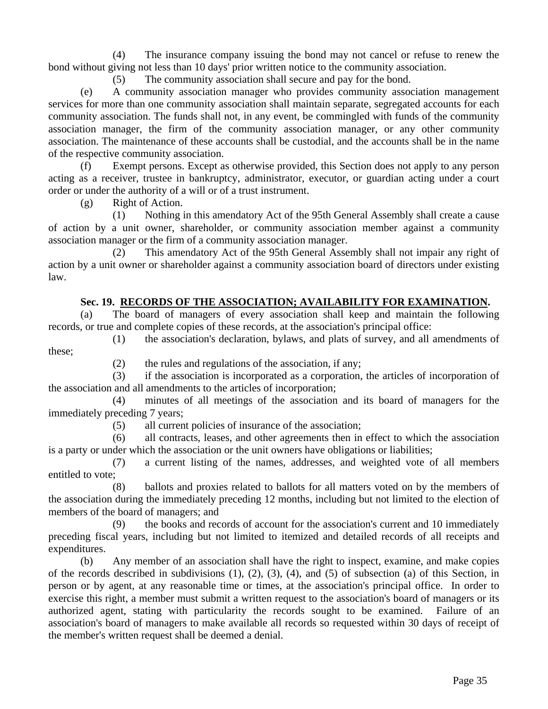(4) The insurance company issuing the bond may not cancel or refuse to renew the bond without giving not less than 10 days' prior written notice to the community association.

(5) The community association shall secure and pay for the bond.

 (e) A community association manager who provides community association management services for more than one community association shall maintain separate, segregated accounts for each community association. The funds shall not, in any event, be commingled with funds of the community association manager, the firm of the community association manager, or any other community association. The maintenance of these accounts shall be custodial, and the accounts shall be in the name of the respective community association.

 (f) Exempt persons. Except as otherwise provided, this Section does not apply to any person acting as a receiver, trustee in bankruptcy, administrator, executor, or guardian acting under a court order or under the authority of a will or of a trust instrument.

(g) Right of Action.

 (1) Nothing in this amendatory Act of the 95th General Assembly shall create a cause of action by a unit owner, shareholder, or community association member against a community association manager or the firm of a community association manager.

 (2) This amendatory Act of the 95th General Assembly shall not impair any right of action by a unit owner or shareholder against a community association board of directors under existing law.

#### **Sec. 19. RECORDS OF THE ASSOCIATION; AVAILABILITY FOR EXAMINATION.**

 (a) The board of managers of every association shall keep and maintain the following records, or true and complete copies of these records, at the association's principal office:

 (1) the association's declaration, bylaws, and plats of survey, and all amendments of these;

(2) the rules and regulations of the association, if any;

 (3) if the association is incorporated as a corporation, the articles of incorporation of the association and all amendments to the articles of incorporation;

 (4) minutes of all meetings of the association and its board of managers for the immediately preceding 7 years;

(5) all current policies of insurance of the association;

 (6) all contracts, leases, and other agreements then in effect to which the association is a party or under which the association or the unit owners have obligations or liabilities;

 (7) a current listing of the names, addresses, and weighted vote of all members entitled to vote;

 (8) ballots and proxies related to ballots for all matters voted on by the members of the association during the immediately preceding 12 months, including but not limited to the election of members of the board of managers; and

 (9) the books and records of account for the association's current and 10 immediately preceding fiscal years, including but not limited to itemized and detailed records of all receipts and expenditures.

 (b) Any member of an association shall have the right to inspect, examine, and make copies of the records described in subdivisions (1), (2), (3), (4), and (5) of subsection (a) of this Section, in person or by agent, at any reasonable time or times, at the association's principal office. In order to exercise this right, a member must submit a written request to the association's board of managers or its authorized agent, stating with particularity the records sought to be examined. Failure of an association's board of managers to make available all records so requested within 30 days of receipt of the member's written request shall be deemed a denial.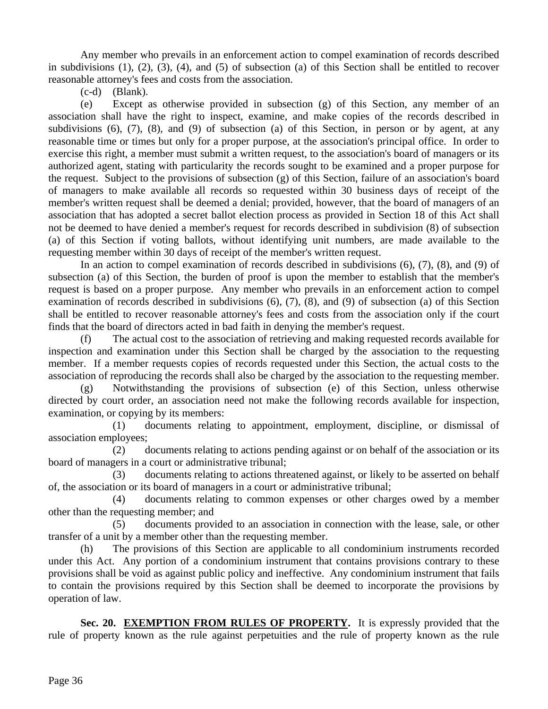Any member who prevails in an enforcement action to compel examination of records described in subdivisions (1), (2), (3), (4), and (5) of subsection (a) of this Section shall be entitled to recover reasonable attorney's fees and costs from the association.

(c-d) (Blank).

 (e) Except as otherwise provided in subsection (g) of this Section, any member of an association shall have the right to inspect, examine, and make copies of the records described in subdivisions (6), (7), (8), and (9) of subsection (a) of this Section, in person or by agent, at any reasonable time or times but only for a proper purpose, at the association's principal office. In order to exercise this right, a member must submit a written request, to the association's board of managers or its authorized agent, stating with particularity the records sought to be examined and a proper purpose for the request. Subject to the provisions of subsection (g) of this Section, failure of an association's board of managers to make available all records so requested within 30 business days of receipt of the member's written request shall be deemed a denial; provided, however, that the board of managers of an association that has adopted a secret ballot election process as provided in Section 18 of this Act shall not be deemed to have denied a member's request for records described in subdivision (8) of subsection (a) of this Section if voting ballots, without identifying unit numbers, are made available to the requesting member within 30 days of receipt of the member's written request.

 In an action to compel examination of records described in subdivisions (6), (7), (8), and (9) of subsection (a) of this Section, the burden of proof is upon the member to establish that the member's request is based on a proper purpose. Any member who prevails in an enforcement action to compel examination of records described in subdivisions (6), (7), (8), and (9) of subsection (a) of this Section shall be entitled to recover reasonable attorney's fees and costs from the association only if the court finds that the board of directors acted in bad faith in denying the member's request.

 (f) The actual cost to the association of retrieving and making requested records available for inspection and examination under this Section shall be charged by the association to the requesting member. If a member requests copies of records requested under this Section, the actual costs to the association of reproducing the records shall also be charged by the association to the requesting member.

 (g) Notwithstanding the provisions of subsection (e) of this Section, unless otherwise directed by court order, an association need not make the following records available for inspection, examination, or copying by its members:

 (1) documents relating to appointment, employment, discipline, or dismissal of association employees;

 (2) documents relating to actions pending against or on behalf of the association or its board of managers in a court or administrative tribunal;

 (3) documents relating to actions threatened against, or likely to be asserted on behalf of, the association or its board of managers in a court or administrative tribunal;

 (4) documents relating to common expenses or other charges owed by a member other than the requesting member; and

 (5) documents provided to an association in connection with the lease, sale, or other transfer of a unit by a member other than the requesting member.

 (h) The provisions of this Section are applicable to all condominium instruments recorded under this Act. Any portion of a condominium instrument that contains provisions contrary to these provisions shall be void as against public policy and ineffective. Any condominium instrument that fails to contain the provisions required by this Section shall be deemed to incorporate the provisions by operation of law.

**Sec. 20. EXEMPTION FROM RULES OF PROPERTY.** It is expressly provided that the rule of property known as the rule against perpetuities and the rule of property known as the rule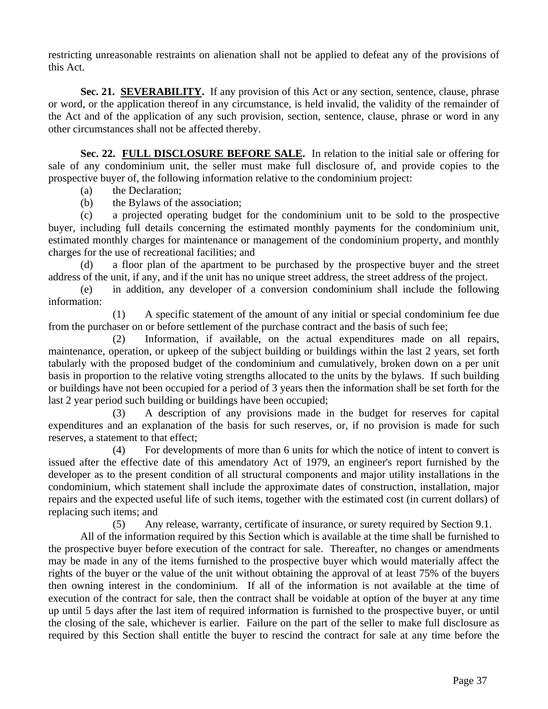restricting unreasonable restraints on alienation shall not be applied to defeat any of the provisions of this Act.

**Sec. 21. SEVERABILITY.** If any provision of this Act or any section, sentence, clause, phrase or word, or the application thereof in any circumstance, is held invalid, the validity of the remainder of the Act and of the application of any such provision, section, sentence, clause, phrase or word in any other circumstances shall not be affected thereby.

**Sec. 22. FULL DISCLOSURE BEFORE SALE.** In relation to the initial sale or offering for sale of any condominium unit, the seller must make full disclosure of, and provide copies to the prospective buyer of, the following information relative to the condominium project:

- (a) the Declaration;
- (b) the Bylaws of the association;

 (c) a projected operating budget for the condominium unit to be sold to the prospective buyer, including full details concerning the estimated monthly payments for the condominium unit, estimated monthly charges for maintenance or management of the condominium property, and monthly charges for the use of recreational facilities; and

 (d) a floor plan of the apartment to be purchased by the prospective buyer and the street address of the unit, if any, and if the unit has no unique street address, the street address of the project.

 (e) in addition, any developer of a conversion condominium shall include the following information:

 (1) A specific statement of the amount of any initial or special condominium fee due from the purchaser on or before settlement of the purchase contract and the basis of such fee;

 (2) Information, if available, on the actual expenditures made on all repairs, maintenance, operation, or upkeep of the subject building or buildings within the last 2 years, set forth tabularly with the proposed budget of the condominium and cumulatively, broken down on a per unit basis in proportion to the relative voting strengths allocated to the units by the bylaws. If such building or buildings have not been occupied for a period of 3 years then the information shall be set forth for the last 2 year period such building or buildings have been occupied;

 (3) A description of any provisions made in the budget for reserves for capital expenditures and an explanation of the basis for such reserves, or, if no provision is made for such reserves, a statement to that effect;

 (4) For developments of more than 6 units for which the notice of intent to convert is issued after the effective date of this amendatory Act of 1979, an engineer's report furnished by the developer as to the present condition of all structural components and major utility installations in the condominium, which statement shall include the approximate dates of construction, installation, major repairs and the expected useful life of such items, together with the estimated cost (in current dollars) of replacing such items; and

(5) Any release, warranty, certificate of insurance, or surety required by Section 9.1.

 All of the information required by this Section which is available at the time shall be furnished to the prospective buyer before execution of the contract for sale. Thereafter, no changes or amendments may be made in any of the items furnished to the prospective buyer which would materially affect the rights of the buyer or the value of the unit without obtaining the approval of at least 75% of the buyers then owning interest in the condominium. If all of the information is not available at the time of execution of the contract for sale, then the contract shall be voidable at option of the buyer at any time up until 5 days after the last item of required information is furnished to the prospective buyer, or until the closing of the sale, whichever is earlier. Failure on the part of the seller to make full disclosure as required by this Section shall entitle the buyer to rescind the contract for sale at any time before the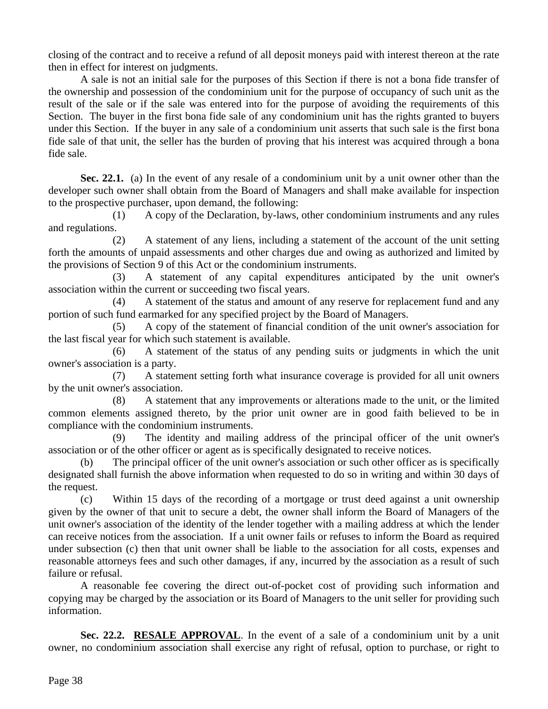closing of the contract and to receive a refund of all deposit moneys paid with interest thereon at the rate then in effect for interest on judgments.

 A sale is not an initial sale for the purposes of this Section if there is not a bona fide transfer of the ownership and possession of the condominium unit for the purpose of occupancy of such unit as the result of the sale or if the sale was entered into for the purpose of avoiding the requirements of this Section. The buyer in the first bona fide sale of any condominium unit has the rights granted to buyers under this Section. If the buyer in any sale of a condominium unit asserts that such sale is the first bona fide sale of that unit, the seller has the burden of proving that his interest was acquired through a bona fide sale.

**Sec. 22.1.** (a) In the event of any resale of a condominium unit by a unit owner other than the developer such owner shall obtain from the Board of Managers and shall make available for inspection to the prospective purchaser, upon demand, the following:

 (1) A copy of the Declaration, by-laws, other condominium instruments and any rules and regulations.

 (2) A statement of any liens, including a statement of the account of the unit setting forth the amounts of unpaid assessments and other charges due and owing as authorized and limited by the provisions of Section 9 of this Act or the condominium instruments.

 (3) A statement of any capital expenditures anticipated by the unit owner's association within the current or succeeding two fiscal years.

 (4) A statement of the status and amount of any reserve for replacement fund and any portion of such fund earmarked for any specified project by the Board of Managers.

 (5) A copy of the statement of financial condition of the unit owner's association for the last fiscal year for which such statement is available.

 (6) A statement of the status of any pending suits or judgments in which the unit owner's association is a party.

 (7) A statement setting forth what insurance coverage is provided for all unit owners by the unit owner's association.

 (8) A statement that any improvements or alterations made to the unit, or the limited common elements assigned thereto, by the prior unit owner are in good faith believed to be in compliance with the condominium instruments.

 (9) The identity and mailing address of the principal officer of the unit owner's association or of the other officer or agent as is specifically designated to receive notices.

 (b) The principal officer of the unit owner's association or such other officer as is specifically designated shall furnish the above information when requested to do so in writing and within 30 days of the request.

 (c) Within 15 days of the recording of a mortgage or trust deed against a unit ownership given by the owner of that unit to secure a debt, the owner shall inform the Board of Managers of the unit owner's association of the identity of the lender together with a mailing address at which the lender can receive notices from the association. If a unit owner fails or refuses to inform the Board as required under subsection (c) then that unit owner shall be liable to the association for all costs, expenses and reasonable attorneys fees and such other damages, if any, incurred by the association as a result of such failure or refusal.

 A reasonable fee covering the direct out-of-pocket cost of providing such information and copying may be charged by the association or its Board of Managers to the unit seller for providing such information.

Sec. 22.2. RESALE APPROVAL. In the event of a sale of a condominium unit by a unit owner, no condominium association shall exercise any right of refusal, option to purchase, or right to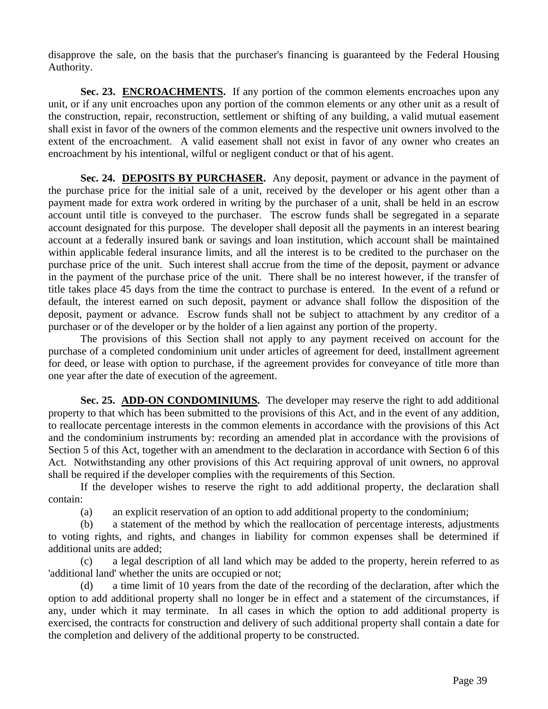disapprove the sale, on the basis that the purchaser's financing is guaranteed by the Federal Housing Authority.

**Sec. 23. ENCROACHMENTS.** If any portion of the common elements encroaches upon any unit, or if any unit encroaches upon any portion of the common elements or any other unit as a result of the construction, repair, reconstruction, settlement or shifting of any building, a valid mutual easement shall exist in favor of the owners of the common elements and the respective unit owners involved to the extent of the encroachment. A valid easement shall not exist in favor of any owner who creates an encroachment by his intentional, wilful or negligent conduct or that of his agent.

**Sec. 24. DEPOSITS BY PURCHASER.** Any deposit, payment or advance in the payment of the purchase price for the initial sale of a unit, received by the developer or his agent other than a payment made for extra work ordered in writing by the purchaser of a unit, shall be held in an escrow account until title is conveyed to the purchaser. The escrow funds shall be segregated in a separate account designated for this purpose. The developer shall deposit all the payments in an interest bearing account at a federally insured bank or savings and loan institution, which account shall be maintained within applicable federal insurance limits, and all the interest is to be credited to the purchaser on the purchase price of the unit. Such interest shall accrue from the time of the deposit, payment or advance in the payment of the purchase price of the unit. There shall be no interest however, if the transfer of title takes place 45 days from the time the contract to purchase is entered. In the event of a refund or default, the interest earned on such deposit, payment or advance shall follow the disposition of the deposit, payment or advance. Escrow funds shall not be subject to attachment by any creditor of a purchaser or of the developer or by the holder of a lien against any portion of the property.

 The provisions of this Section shall not apply to any payment received on account for the purchase of a completed condominium unit under articles of agreement for deed, installment agreement for deed, or lease with option to purchase, if the agreement provides for conveyance of title more than one year after the date of execution of the agreement.

**Sec. 25. ADD-ON CONDOMINIUMS.** The developer may reserve the right to add additional property to that which has been submitted to the provisions of this Act, and in the event of any addition, to reallocate percentage interests in the common elements in accordance with the provisions of this Act and the condominium instruments by: recording an amended plat in accordance with the provisions of Section 5 of this Act, together with an amendment to the declaration in accordance with Section 6 of this Act. Notwithstanding any other provisions of this Act requiring approval of unit owners, no approval shall be required if the developer complies with the requirements of this Section.

 If the developer wishes to reserve the right to add additional property, the declaration shall contain:

(a) an explicit reservation of an option to add additional property to the condominium;

 (b) a statement of the method by which the reallocation of percentage interests, adjustments to voting rights, and rights, and changes in liability for common expenses shall be determined if additional units are added;

 (c) a legal description of all land which may be added to the property, herein referred to as 'additional land' whether the units are occupied or not;

 (d) a time limit of 10 years from the date of the recording of the declaration, after which the option to add additional property shall no longer be in effect and a statement of the circumstances, if any, under which it may terminate. In all cases in which the option to add additional property is exercised, the contracts for construction and delivery of such additional property shall contain a date for the completion and delivery of the additional property to be constructed.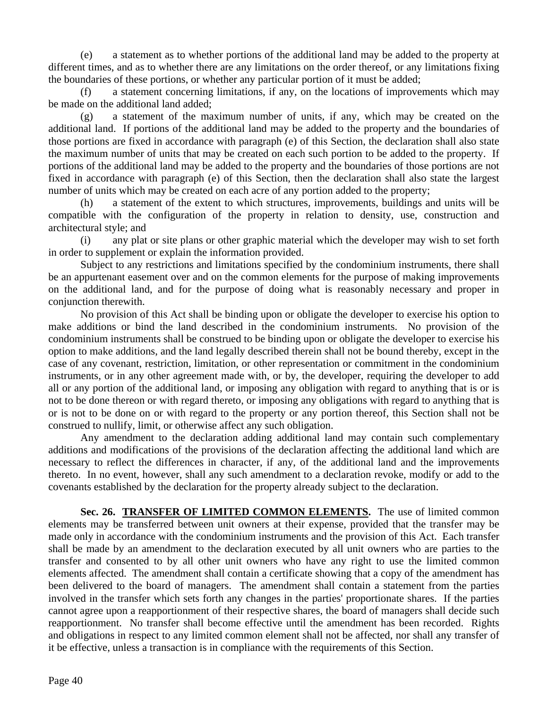(e) a statement as to whether portions of the additional land may be added to the property at different times, and as to whether there are any limitations on the order thereof, or any limitations fixing the boundaries of these portions, or whether any particular portion of it must be added;

a statement concerning limitations, if any, on the locations of improvements which may be made on the additional land added;

 (g) a statement of the maximum number of units, if any, which may be created on the additional land. If portions of the additional land may be added to the property and the boundaries of those portions are fixed in accordance with paragraph (e) of this Section, the declaration shall also state the maximum number of units that may be created on each such portion to be added to the property. If portions of the additional land may be added to the property and the boundaries of those portions are not fixed in accordance with paragraph (e) of this Section, then the declaration shall also state the largest number of units which may be created on each acre of any portion added to the property;

 (h) a statement of the extent to which structures, improvements, buildings and units will be compatible with the configuration of the property in relation to density, use, construction and architectural style; and

 (i) any plat or site plans or other graphic material which the developer may wish to set forth in order to supplement or explain the information provided.

 Subject to any restrictions and limitations specified by the condominium instruments, there shall be an appurtenant easement over and on the common elements for the purpose of making improvements on the additional land, and for the purpose of doing what is reasonably necessary and proper in conjunction therewith.

 No provision of this Act shall be binding upon or obligate the developer to exercise his option to make additions or bind the land described in the condominium instruments. No provision of the condominium instruments shall be construed to be binding upon or obligate the developer to exercise his option to make additions, and the land legally described therein shall not be bound thereby, except in the case of any covenant, restriction, limitation, or other representation or commitment in the condominium instruments, or in any other agreement made with, or by, the developer, requiring the developer to add all or any portion of the additional land, or imposing any obligation with regard to anything that is or is not to be done thereon or with regard thereto, or imposing any obligations with regard to anything that is or is not to be done on or with regard to the property or any portion thereof, this Section shall not be construed to nullify, limit, or otherwise affect any such obligation.

 Any amendment to the declaration adding additional land may contain such complementary additions and modifications of the provisions of the declaration affecting the additional land which are necessary to reflect the differences in character, if any, of the additional land and the improvements thereto. In no event, however, shall any such amendment to a declaration revoke, modify or add to the covenants established by the declaration for the property already subject to the declaration.

**Sec. 26. TRANSFER OF LIMITED COMMON ELEMENTS.** The use of limited common elements may be transferred between unit owners at their expense, provided that the transfer may be made only in accordance with the condominium instruments and the provision of this Act. Each transfer shall be made by an amendment to the declaration executed by all unit owners who are parties to the transfer and consented to by all other unit owners who have any right to use the limited common elements affected. The amendment shall contain a certificate showing that a copy of the amendment has been delivered to the board of managers. The amendment shall contain a statement from the parties involved in the transfer which sets forth any changes in the parties' proportionate shares. If the parties cannot agree upon a reapportionment of their respective shares, the board of managers shall decide such reapportionment. No transfer shall become effective until the amendment has been recorded. Rights and obligations in respect to any limited common element shall not be affected, nor shall any transfer of it be effective, unless a transaction is in compliance with the requirements of this Section.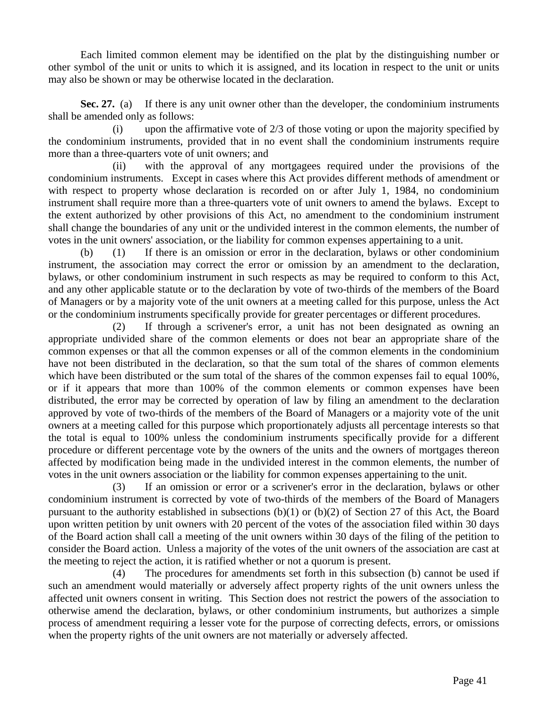Each limited common element may be identified on the plat by the distinguishing number or other symbol of the unit or units to which it is assigned, and its location in respect to the unit or units may also be shown or may be otherwise located in the declaration.

**Sec. 27.** (a) If there is any unit owner other than the developer, the condominium instruments shall be amended only as follows:

 (i) upon the affirmative vote of 2/3 of those voting or upon the majority specified by the condominium instruments, provided that in no event shall the condominium instruments require more than a three-quarters vote of unit owners; and

 (ii) with the approval of any mortgagees required under the provisions of the condominium instruments. Except in cases where this Act provides different methods of amendment or with respect to property whose declaration is recorded on or after July 1, 1984, no condominium instrument shall require more than a three-quarters vote of unit owners to amend the bylaws. Except to the extent authorized by other provisions of this Act, no amendment to the condominium instrument shall change the boundaries of any unit or the undivided interest in the common elements, the number of votes in the unit owners' association, or the liability for common expenses appertaining to a unit.

 (b) (1) If there is an omission or error in the declaration, bylaws or other condominium instrument, the association may correct the error or omission by an amendment to the declaration, bylaws, or other condominium instrument in such respects as may be required to conform to this Act, and any other applicable statute or to the declaration by vote of two-thirds of the members of the Board of Managers or by a majority vote of the unit owners at a meeting called for this purpose, unless the Act or the condominium instruments specifically provide for greater percentages or different procedures.

 (2) If through a scrivener's error, a unit has not been designated as owning an appropriate undivided share of the common elements or does not bear an appropriate share of the common expenses or that all the common expenses or all of the common elements in the condominium have not been distributed in the declaration, so that the sum total of the shares of common elements which have been distributed or the sum total of the shares of the common expenses fail to equal 100%, or if it appears that more than 100% of the common elements or common expenses have been distributed, the error may be corrected by operation of law by filing an amendment to the declaration approved by vote of two-thirds of the members of the Board of Managers or a majority vote of the unit owners at a meeting called for this purpose which proportionately adjusts all percentage interests so that the total is equal to 100% unless the condominium instruments specifically provide for a different procedure or different percentage vote by the owners of the units and the owners of mortgages thereon affected by modification being made in the undivided interest in the common elements, the number of votes in the unit owners association or the liability for common expenses appertaining to the unit.

 (3) If an omission or error or a scrivener's error in the declaration, bylaws or other condominium instrument is corrected by vote of two-thirds of the members of the Board of Managers pursuant to the authority established in subsections (b)(1) or (b)(2) of Section 27 of this Act, the Board upon written petition by unit owners with 20 percent of the votes of the association filed within 30 days of the Board action shall call a meeting of the unit owners within 30 days of the filing of the petition to consider the Board action. Unless a majority of the votes of the unit owners of the association are cast at the meeting to reject the action, it is ratified whether or not a quorum is present.

 (4) The procedures for amendments set forth in this subsection (b) cannot be used if such an amendment would materially or adversely affect property rights of the unit owners unless the affected unit owners consent in writing. This Section does not restrict the powers of the association to otherwise amend the declaration, bylaws, or other condominium instruments, but authorizes a simple process of amendment requiring a lesser vote for the purpose of correcting defects, errors, or omissions when the property rights of the unit owners are not materially or adversely affected.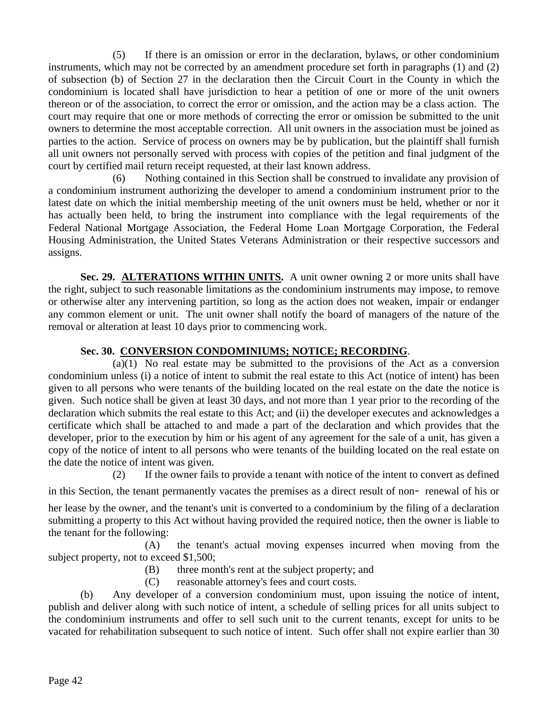(5) If there is an omission or error in the declaration, bylaws, or other condominium instruments, which may not be corrected by an amendment procedure set forth in paragraphs (1) and (2) of subsection (b) of Section 27 in the declaration then the Circuit Court in the County in which the condominium is located shall have jurisdiction to hear a petition of one or more of the unit owners thereon or of the association, to correct the error or omission, and the action may be a class action. The court may require that one or more methods of correcting the error or omission be submitted to the unit owners to determine the most acceptable correction. All unit owners in the association must be joined as parties to the action. Service of process on owners may be by publication, but the plaintiff shall furnish all unit owners not personally served with process with copies of the petition and final judgment of the court by certified mail return receipt requested, at their last known address.

 (6) Nothing contained in this Section shall be construed to invalidate any provision of a condominium instrument authorizing the developer to amend a condominium instrument prior to the latest date on which the initial membership meeting of the unit owners must be held, whether or nor it has actually been held, to bring the instrument into compliance with the legal requirements of the Federal National Mortgage Association, the Federal Home Loan Mortgage Corporation, the Federal Housing Administration, the United States Veterans Administration or their respective successors and assigns.

**Sec. 29. ALTERATIONS WITHIN UNITS.** A unit owner owning 2 or more units shall have the right, subject to such reasonable limitations as the condominium instruments may impose, to remove or otherwise alter any intervening partition, so long as the action does not weaken, impair or endanger any common element or unit. The unit owner shall notify the board of managers of the nature of the removal or alteration at least 10 days prior to commencing work.

## **Sec. 30. CONVERSION CONDOMINIUMS; NOTICE; RECORDING**.

 (a)(1) No real estate may be submitted to the provisions of the Act as a conversion condominium unless (i) a notice of intent to submit the real estate to this Act (notice of intent) has been given to all persons who were tenants of the building located on the real estate on the date the notice is given. Such notice shall be given at least 30 days, and not more than 1 year prior to the recording of the declaration which submits the real estate to this Act; and (ii) the developer executes and acknowledges a certificate which shall be attached to and made a part of the declaration and which provides that the developer, prior to the execution by him or his agent of any agreement for the sale of a unit, has given a copy of the notice of intent to all persons who were tenants of the building located on the real estate on the date the notice of intent was given.

 (2) If the owner fails to provide a tenant with notice of the intent to convert as defined in this Section, the tenant permanently vacates the premises as a direct result of non- renewal of his or

her lease by the owner, and the tenant's unit is converted to a condominium by the filing of a declaration submitting a property to this Act without having provided the required notice, then the owner is liable to the tenant for the following:

 (A) the tenant's actual moving expenses incurred when moving from the subject property, not to exceed \$1,500;

- (B) three month's rent at the subject property; and
- (C) reasonable attorney's fees and court costs.

 (b) Any developer of a conversion condominium must, upon issuing the notice of intent, publish and deliver along with such notice of intent, a schedule of selling prices for all units subject to the condominium instruments and offer to sell such unit to the current tenants, except for units to be vacated for rehabilitation subsequent to such notice of intent. Such offer shall not expire earlier than 30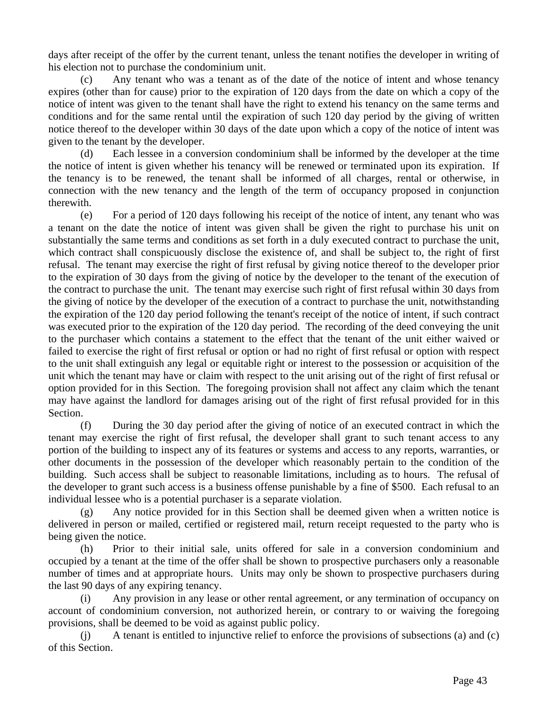days after receipt of the offer by the current tenant, unless the tenant notifies the developer in writing of his election not to purchase the condominium unit.

 (c) Any tenant who was a tenant as of the date of the notice of intent and whose tenancy expires (other than for cause) prior to the expiration of 120 days from the date on which a copy of the notice of intent was given to the tenant shall have the right to extend his tenancy on the same terms and conditions and for the same rental until the expiration of such 120 day period by the giving of written notice thereof to the developer within 30 days of the date upon which a copy of the notice of intent was given to the tenant by the developer.

 (d) Each lessee in a conversion condominium shall be informed by the developer at the time the notice of intent is given whether his tenancy will be renewed or terminated upon its expiration. If the tenancy is to be renewed, the tenant shall be informed of all charges, rental or otherwise, in connection with the new tenancy and the length of the term of occupancy proposed in conjunction therewith.

 (e) For a period of 120 days following his receipt of the notice of intent, any tenant who was a tenant on the date the notice of intent was given shall be given the right to purchase his unit on substantially the same terms and conditions as set forth in a duly executed contract to purchase the unit, which contract shall conspicuously disclose the existence of, and shall be subject to, the right of first refusal. The tenant may exercise the right of first refusal by giving notice thereof to the developer prior to the expiration of 30 days from the giving of notice by the developer to the tenant of the execution of the contract to purchase the unit. The tenant may exercise such right of first refusal within 30 days from the giving of notice by the developer of the execution of a contract to purchase the unit, notwithstanding the expiration of the 120 day period following the tenant's receipt of the notice of intent, if such contract was executed prior to the expiration of the 120 day period. The recording of the deed conveying the unit to the purchaser which contains a statement to the effect that the tenant of the unit either waived or failed to exercise the right of first refusal or option or had no right of first refusal or option with respect to the unit shall extinguish any legal or equitable right or interest to the possession or acquisition of the unit which the tenant may have or claim with respect to the unit arising out of the right of first refusal or option provided for in this Section. The foregoing provision shall not affect any claim which the tenant may have against the landlord for damages arising out of the right of first refusal provided for in this Section.

 (f) During the 30 day period after the giving of notice of an executed contract in which the tenant may exercise the right of first refusal, the developer shall grant to such tenant access to any portion of the building to inspect any of its features or systems and access to any reports, warranties, or other documents in the possession of the developer which reasonably pertain to the condition of the building. Such access shall be subject to reasonable limitations, including as to hours. The refusal of the developer to grant such access is a business offense punishable by a fine of \$500. Each refusal to an individual lessee who is a potential purchaser is a separate violation.

 (g) Any notice provided for in this Section shall be deemed given when a written notice is delivered in person or mailed, certified or registered mail, return receipt requested to the party who is being given the notice.

 (h) Prior to their initial sale, units offered for sale in a conversion condominium and occupied by a tenant at the time of the offer shall be shown to prospective purchasers only a reasonable number of times and at appropriate hours. Units may only be shown to prospective purchasers during the last 90 days of any expiring tenancy.

 (i) Any provision in any lease or other rental agreement, or any termination of occupancy on account of condominium conversion, not authorized herein, or contrary to or waiving the foregoing provisions, shall be deemed to be void as against public policy.

 (j) A tenant is entitled to injunctive relief to enforce the provisions of subsections (a) and (c) of this Section.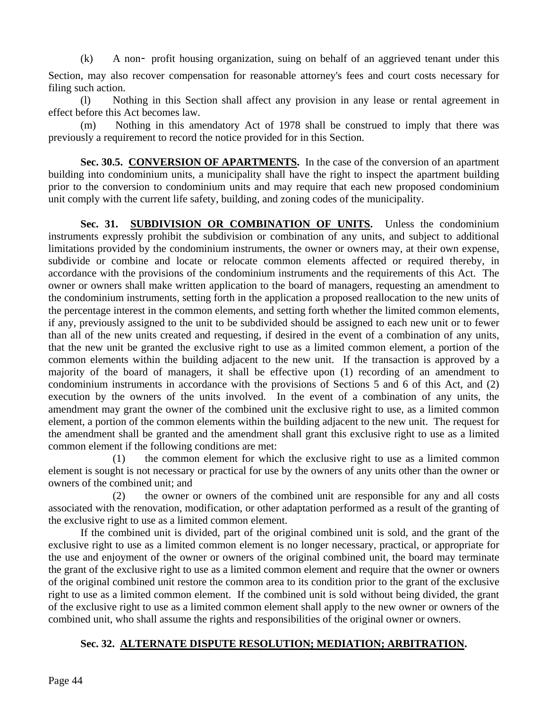(k) A non- profit housing organization, suing on behalf of an aggrieved tenant under this

Section, may also recover compensation for reasonable attorney's fees and court costs necessary for filing such action.

 (l) Nothing in this Section shall affect any provision in any lease or rental agreement in effect before this Act becomes law.

Nothing in this amendatory Act of 1978 shall be construed to imply that there was previously a requirement to record the notice provided for in this Section.

**Sec. 30.5. CONVERSION OF APARTMENTS.** In the case of the conversion of an apartment building into condominium units, a municipality shall have the right to inspect the apartment building prior to the conversion to condominium units and may require that each new proposed condominium unit comply with the current life safety, building, and zoning codes of the municipality.

Sec. 31. **SUBDIVISION OR COMBINATION OF UNITS.** Unless the condominium instruments expressly prohibit the subdivision or combination of any units, and subject to additional limitations provided by the condominium instruments, the owner or owners may, at their own expense, subdivide or combine and locate or relocate common elements affected or required thereby, in accordance with the provisions of the condominium instruments and the requirements of this Act. The owner or owners shall make written application to the board of managers, requesting an amendment to the condominium instruments, setting forth in the application a proposed reallocation to the new units of the percentage interest in the common elements, and setting forth whether the limited common elements, if any, previously assigned to the unit to be subdivided should be assigned to each new unit or to fewer than all of the new units created and requesting, if desired in the event of a combination of any units, that the new unit be granted the exclusive right to use as a limited common element, a portion of the common elements within the building adjacent to the new unit. If the transaction is approved by a majority of the board of managers, it shall be effective upon (1) recording of an amendment to condominium instruments in accordance with the provisions of Sections 5 and 6 of this Act, and (2) execution by the owners of the units involved. In the event of a combination of any units, the amendment may grant the owner of the combined unit the exclusive right to use, as a limited common element, a portion of the common elements within the building adjacent to the new unit. The request for the amendment shall be granted and the amendment shall grant this exclusive right to use as a limited common element if the following conditions are met:

 (1) the common element for which the exclusive right to use as a limited common element is sought is not necessary or practical for use by the owners of any units other than the owner or owners of the combined unit; and

 (2) the owner or owners of the combined unit are responsible for any and all costs associated with the renovation, modification, or other adaptation performed as a result of the granting of the exclusive right to use as a limited common element.

 If the combined unit is divided, part of the original combined unit is sold, and the grant of the exclusive right to use as a limited common element is no longer necessary, practical, or appropriate for the use and enjoyment of the owner or owners of the original combined unit, the board may terminate the grant of the exclusive right to use as a limited common element and require that the owner or owners of the original combined unit restore the common area to its condition prior to the grant of the exclusive right to use as a limited common element. If the combined unit is sold without being divided, the grant of the exclusive right to use as a limited common element shall apply to the new owner or owners of the combined unit, who shall assume the rights and responsibilities of the original owner or owners.

## **Sec. 32. ALTERNATE DISPUTE RESOLUTION; MEDIATION; ARBITRATION.**